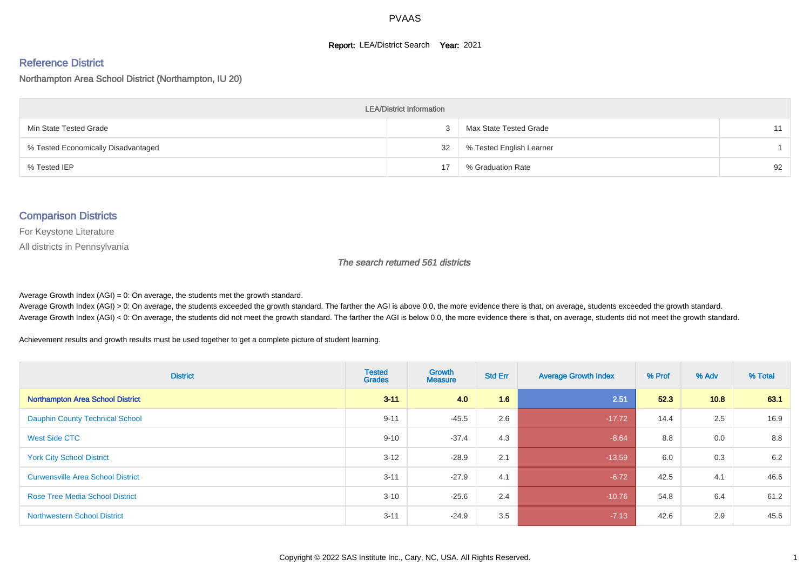#### **Report: LEA/District Search Year: 2021**

# Reference District

Northampton Area School District (Northampton, IU 20)

| <b>LEA/District Information</b>     |    |                          |    |  |  |  |  |  |  |  |
|-------------------------------------|----|--------------------------|----|--|--|--|--|--|--|--|
| Min State Tested Grade              |    | Max State Tested Grade   | 11 |  |  |  |  |  |  |  |
| % Tested Economically Disadvantaged | 32 | % Tested English Learner |    |  |  |  |  |  |  |  |
| % Tested IEP                        | 17 | % Graduation Rate        | 92 |  |  |  |  |  |  |  |

#### Comparison Districts

For Keystone Literature

All districts in Pennsylvania

The search returned 561 districts

Average Growth Index  $(AGI) = 0$ : On average, the students met the growth standard.

Average Growth Index (AGI) > 0: On average, the students exceeded the growth standard. The farther the AGI is above 0.0, the more evidence there is that, on average, students exceeded the growth standard. Average Growth Index (AGI) < 0: On average, the students did not meet the growth standard. The farther the AGI is below 0.0, the more evidence there is that, on average, students did not meet the growth standard.

Achievement results and growth results must be used together to get a complete picture of student learning.

| <b>District</b>                          | <b>Tested</b><br><b>Grades</b> | <b>Growth</b><br><b>Measure</b> | <b>Std Err</b> | <b>Average Growth Index</b> | % Prof | % Adv | % Total |
|------------------------------------------|--------------------------------|---------------------------------|----------------|-----------------------------|--------|-------|---------|
| <b>Northampton Area School District</b>  | $3 - 11$                       | 4.0                             | 1.6            | 2.51                        | 52.3   | 10.8  | 63.1    |
| <b>Dauphin County Technical School</b>   | $9 - 11$                       | $-45.5$                         | 2.6            | $-17.72$                    | 14.4   | 2.5   | 16.9    |
| <b>West Side CTC</b>                     | $9 - 10$                       | $-37.4$                         | 4.3            | $-8.64$                     | 8.8    | 0.0   | 8.8     |
| <b>York City School District</b>         | $3 - 12$                       | $-28.9$                         | 2.1            | $-13.59$                    | 6.0    | 0.3   | 6.2     |
| <b>Curwensville Area School District</b> | $3 - 11$                       | $-27.9$                         | 4.1            | $-6.72$                     | 42.5   | 4.1   | 46.6    |
| <b>Rose Tree Media School District</b>   | $3 - 10$                       | $-25.6$                         | 2.4            | $-10.76$                    | 54.8   | 6.4   | 61.2    |
| <b>Northwestern School District</b>      | $3 - 11$                       | $-24.9$                         | 3.5            | $-7.13$                     | 42.6   | 2.9   | 45.6    |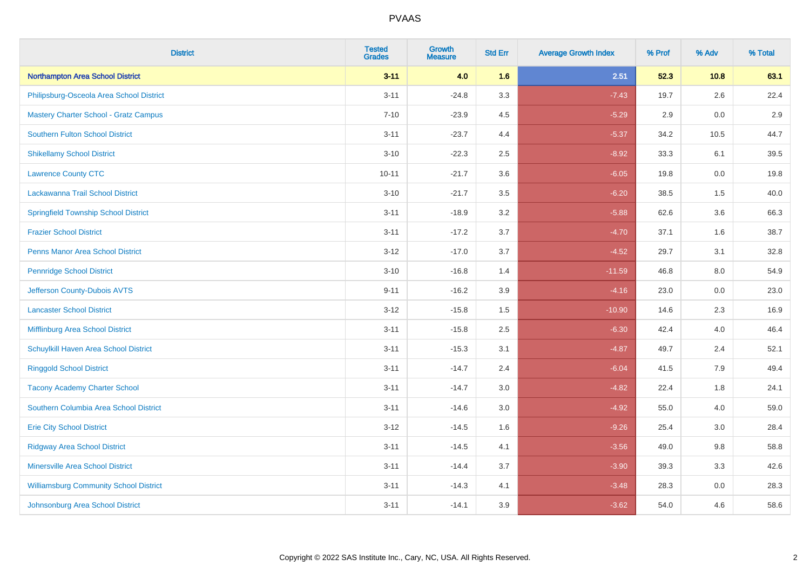| <b>District</b>                               | <b>Tested</b><br><b>Grades</b> | <b>Growth</b><br><b>Measure</b> | <b>Std Err</b> | <b>Average Growth Index</b> | % Prof | % Adv   | % Total |
|-----------------------------------------------|--------------------------------|---------------------------------|----------------|-----------------------------|--------|---------|---------|
| Northampton Area School District              | $3 - 11$                       | 4.0                             | 1.6            | 2.51                        | 52.3   | 10.8    | 63.1    |
| Philipsburg-Osceola Area School District      | $3 - 11$                       | $-24.8$                         | 3.3            | $-7.43$                     | 19.7   | 2.6     | 22.4    |
| <b>Mastery Charter School - Gratz Campus</b>  | $7 - 10$                       | $-23.9$                         | 4.5            | $-5.29$                     | 2.9    | 0.0     | 2.9     |
| <b>Southern Fulton School District</b>        | $3 - 11$                       | $-23.7$                         | 4.4            | $-5.37$                     | 34.2   | 10.5    | 44.7    |
| <b>Shikellamy School District</b>             | $3 - 10$                       | $-22.3$                         | 2.5            | $-8.92$                     | 33.3   | 6.1     | 39.5    |
| <b>Lawrence County CTC</b>                    | $10 - 11$                      | $-21.7$                         | 3.6            | $-6.05$                     | 19.8   | 0.0     | 19.8    |
| Lackawanna Trail School District              | $3 - 10$                       | $-21.7$                         | 3.5            | $-6.20$                     | 38.5   | 1.5     | 40.0    |
| <b>Springfield Township School District</b>   | $3 - 11$                       | $-18.9$                         | 3.2            | $-5.88$                     | 62.6   | 3.6     | 66.3    |
| <b>Frazier School District</b>                | $3 - 11$                       | $-17.2$                         | 3.7            | $-4.70$                     | 37.1   | 1.6     | 38.7    |
| <b>Penns Manor Area School District</b>       | $3 - 12$                       | $-17.0$                         | 3.7            | $-4.52$                     | 29.7   | 3.1     | 32.8    |
| <b>Pennridge School District</b>              | $3 - 10$                       | $-16.8$                         | 1.4            | $-11.59$                    | 46.8   | 8.0     | 54.9    |
| Jefferson County-Dubois AVTS                  | $9 - 11$                       | $-16.2$                         | 3.9            | $-4.16$                     | 23.0   | 0.0     | 23.0    |
| <b>Lancaster School District</b>              | $3 - 12$                       | $-15.8$                         | 1.5            | $-10.90$                    | 14.6   | $2.3\,$ | 16.9    |
| Mifflinburg Area School District              | $3 - 11$                       | $-15.8$                         | 2.5            | $-6.30$                     | 42.4   | 4.0     | 46.4    |
| Schuylkill Haven Area School District         | $3 - 11$                       | $-15.3$                         | 3.1            | $-4.87$                     | 49.7   | 2.4     | 52.1    |
| <b>Ringgold School District</b>               | $3 - 11$                       | $-14.7$                         | 2.4            | $-6.04$                     | 41.5   | 7.9     | 49.4    |
| <b>Tacony Academy Charter School</b>          | $3 - 11$                       | $-14.7$                         | 3.0            | $-4.82$                     | 22.4   | 1.8     | 24.1    |
| Southern Columbia Area School District        | $3 - 11$                       | $-14.6$                         | 3.0            | $-4.92$                     | 55.0   | 4.0     | 59.0    |
| <b>Erie City School District</b>              | $3 - 12$                       | $-14.5$                         | 1.6            | $-9.26$                     | 25.4   | 3.0     | 28.4    |
| <b>Ridgway Area School District</b>           | $3 - 11$                       | $-14.5$                         | 4.1            | $-3.56$                     | 49.0   | 9.8     | 58.8    |
| <b>Minersville Area School District</b>       | $3 - 11$                       | $-14.4$                         | 3.7            | $-3.90$                     | 39.3   | 3.3     | 42.6    |
| <b>Williamsburg Community School District</b> | $3 - 11$                       | $-14.3$                         | 4.1            | $-3.48$                     | 28.3   | 0.0     | 28.3    |
| Johnsonburg Area School District              | $3 - 11$                       | $-14.1$                         | 3.9            | $-3.62$                     | 54.0   | 4.6     | 58.6    |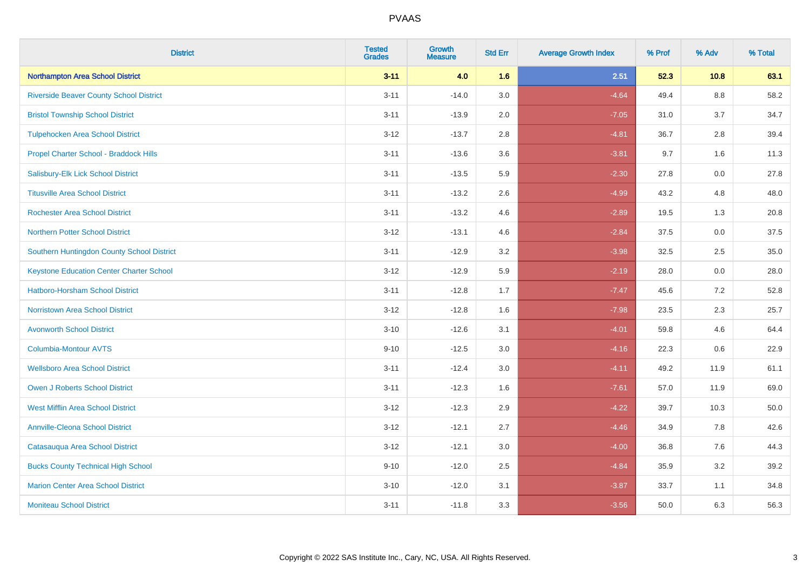| <b>District</b>                                 | <b>Tested</b><br><b>Grades</b> | <b>Growth</b><br><b>Measure</b> | <b>Std Err</b> | <b>Average Growth Index</b> | % Prof | % Adv   | % Total |
|-------------------------------------------------|--------------------------------|---------------------------------|----------------|-----------------------------|--------|---------|---------|
| Northampton Area School District                | $3 - 11$                       | 4.0                             | 1.6            | 2.51                        | 52.3   | 10.8    | 63.1    |
| <b>Riverside Beaver County School District</b>  | $3 - 11$                       | $-14.0$                         | 3.0            | $-4.64$                     | 49.4   | $8.8\,$ | 58.2    |
| <b>Bristol Township School District</b>         | $3 - 11$                       | $-13.9$                         | 2.0            | $-7.05$                     | 31.0   | 3.7     | 34.7    |
| <b>Tulpehocken Area School District</b>         | $3 - 12$                       | $-13.7$                         | 2.8            | $-4.81$                     | 36.7   | 2.8     | 39.4    |
| Propel Charter School - Braddock Hills          | $3 - 11$                       | $-13.6$                         | 3.6            | $-3.81$                     | 9.7    | 1.6     | 11.3    |
| Salisbury-Elk Lick School District              | $3 - 11$                       | $-13.5$                         | 5.9            | $-2.30$                     | 27.8   | 0.0     | 27.8    |
| <b>Titusville Area School District</b>          | $3 - 11$                       | $-13.2$                         | 2.6            | $-4.99$                     | 43.2   | 4.8     | 48.0    |
| <b>Rochester Area School District</b>           | $3 - 11$                       | $-13.2$                         | 4.6            | $-2.89$                     | 19.5   | 1.3     | 20.8    |
| <b>Northern Potter School District</b>          | $3 - 12$                       | $-13.1$                         | 4.6            | $-2.84$                     | 37.5   | 0.0     | 37.5    |
| Southern Huntingdon County School District      | $3 - 11$                       | $-12.9$                         | 3.2            | $-3.98$                     | 32.5   | $2.5\,$ | 35.0    |
| <b>Keystone Education Center Charter School</b> | $3 - 12$                       | $-12.9$                         | 5.9            | $-2.19$                     | 28.0   | 0.0     | 28.0    |
| <b>Hatboro-Horsham School District</b>          | $3 - 11$                       | $-12.8$                         | 1.7            | $-7.47$                     | 45.6   | 7.2     | 52.8    |
| <b>Norristown Area School District</b>          | $3 - 12$                       | $-12.8$                         | 1.6            | $-7.98$                     | 23.5   | 2.3     | 25.7    |
| <b>Avonworth School District</b>                | $3 - 10$                       | $-12.6$                         | 3.1            | $-4.01$                     | 59.8   | 4.6     | 64.4    |
| Columbia-Montour AVTS                           | $9 - 10$                       | $-12.5$                         | 3.0            | $-4.16$                     | 22.3   | 0.6     | 22.9    |
| <b>Wellsboro Area School District</b>           | $3 - 11$                       | $-12.4$                         | 3.0            | $-4.11$                     | 49.2   | 11.9    | 61.1    |
| <b>Owen J Roberts School District</b>           | $3 - 11$                       | $-12.3$                         | 1.6            | $-7.61$                     | 57.0   | 11.9    | 69.0    |
| <b>West Mifflin Area School District</b>        | $3 - 12$                       | $-12.3$                         | 2.9            | $-4.22$                     | 39.7   | 10.3    | 50.0    |
| <b>Annville-Cleona School District</b>          | $3 - 12$                       | $-12.1$                         | 2.7            | $-4.46$                     | 34.9   | 7.8     | 42.6    |
| Catasauqua Area School District                 | $3 - 12$                       | $-12.1$                         | 3.0            | $-4.00$                     | 36.8   | 7.6     | 44.3    |
| <b>Bucks County Technical High School</b>       | $9 - 10$                       | $-12.0$                         | 2.5            | $-4.84$                     | 35.9   | 3.2     | 39.2    |
| <b>Marion Center Area School District</b>       | $3 - 10$                       | $-12.0$                         | 3.1            | $-3.87$                     | 33.7   | 1.1     | 34.8    |
| <b>Moniteau School District</b>                 | $3 - 11$                       | $-11.8$                         | 3.3            | $-3.56$                     | 50.0   | 6.3     | 56.3    |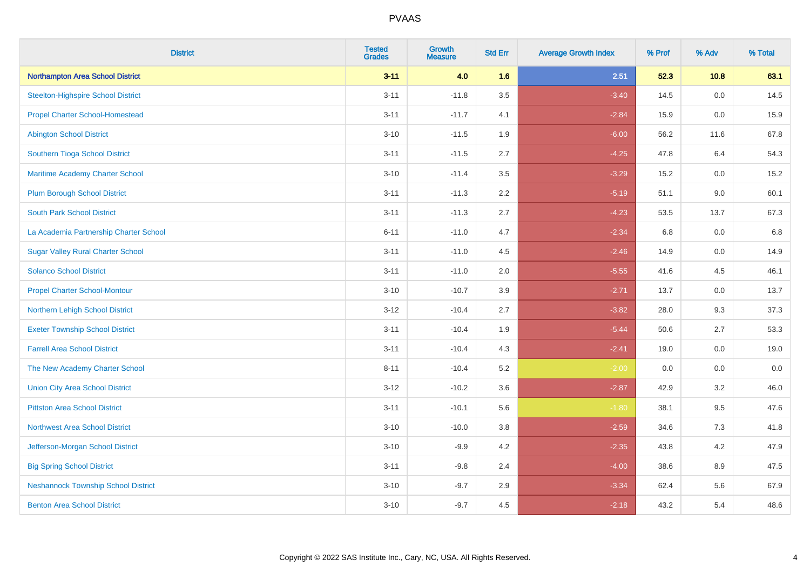| <b>District</b>                            | <b>Tested</b><br><b>Grades</b> | <b>Growth</b><br><b>Measure</b> | <b>Std Err</b> | <b>Average Growth Index</b> | % Prof | % Adv   | % Total |
|--------------------------------------------|--------------------------------|---------------------------------|----------------|-----------------------------|--------|---------|---------|
| Northampton Area School District           | $3 - 11$                       | 4.0                             | 1.6            | 2.51                        | 52.3   | 10.8    | 63.1    |
| <b>Steelton-Highspire School District</b>  | $3 - 11$                       | $-11.8$                         | 3.5            | $-3.40$                     | 14.5   | 0.0     | 14.5    |
| <b>Propel Charter School-Homestead</b>     | $3 - 11$                       | $-11.7$                         | 4.1            | $-2.84$                     | 15.9   | 0.0     | 15.9    |
| <b>Abington School District</b>            | $3 - 10$                       | $-11.5$                         | 1.9            | $-6.00$                     | 56.2   | 11.6    | 67.8    |
| Southern Tioga School District             | $3 - 11$                       | $-11.5$                         | 2.7            | $-4.25$                     | 47.8   | 6.4     | 54.3    |
| Maritime Academy Charter School            | $3 - 10$                       | $-11.4$                         | 3.5            | $-3.29$                     | 15.2   | 0.0     | 15.2    |
| <b>Plum Borough School District</b>        | $3 - 11$                       | $-11.3$                         | 2.2            | $-5.19$                     | 51.1   | 9.0     | 60.1    |
| <b>South Park School District</b>          | $3 - 11$                       | $-11.3$                         | 2.7            | $-4.23$                     | 53.5   | 13.7    | 67.3    |
| La Academia Partnership Charter School     | $6 - 11$                       | $-11.0$                         | 4.7            | $-2.34$                     | 6.8    | 0.0     | 6.8     |
| <b>Sugar Valley Rural Charter School</b>   | $3 - 11$                       | $-11.0$                         | 4.5            | $-2.46$                     | 14.9   | 0.0     | 14.9    |
| <b>Solanco School District</b>             | $3 - 11$                       | $-11.0$                         | 2.0            | $-5.55$                     | 41.6   | 4.5     | 46.1    |
| <b>Propel Charter School-Montour</b>       | $3 - 10$                       | $-10.7$                         | 3.9            | $-2.71$                     | 13.7   | 0.0     | 13.7    |
| Northern Lehigh School District            | $3 - 12$                       | $-10.4$                         | 2.7            | $-3.82$                     | 28.0   | 9.3     | 37.3    |
| <b>Exeter Township School District</b>     | $3 - 11$                       | $-10.4$                         | 1.9            | $-5.44$                     | 50.6   | 2.7     | 53.3    |
| <b>Farrell Area School District</b>        | $3 - 11$                       | $-10.4$                         | 4.3            | $-2.41$                     | 19.0   | 0.0     | 19.0    |
| The New Academy Charter School             | $8 - 11$                       | $-10.4$                         | 5.2            | $-2.00$                     | 0.0    | $0.0\,$ | $0.0\,$ |
| <b>Union City Area School District</b>     | $3 - 12$                       | $-10.2$                         | 3.6            | $-2.87$                     | 42.9   | 3.2     | 46.0    |
| <b>Pittston Area School District</b>       | $3 - 11$                       | $-10.1$                         | 5.6            | $-1.80$                     | 38.1   | 9.5     | 47.6    |
| <b>Northwest Area School District</b>      | $3 - 10$                       | $-10.0$                         | 3.8            | $-2.59$                     | 34.6   | $7.3$   | 41.8    |
| Jefferson-Morgan School District           | $3 - 10$                       | $-9.9$                          | 4.2            | $-2.35$                     | 43.8   | 4.2     | 47.9    |
| <b>Big Spring School District</b>          | $3 - 11$                       | $-9.8$                          | 2.4            | $-4.00$                     | 38.6   | 8.9     | 47.5    |
| <b>Neshannock Township School District</b> | $3 - 10$                       | $-9.7$                          | 2.9            | $-3.34$                     | 62.4   | 5.6     | 67.9    |
| <b>Benton Area School District</b>         | $3 - 10$                       | $-9.7$                          | 4.5            | $-2.18$                     | 43.2   | 5.4     | 48.6    |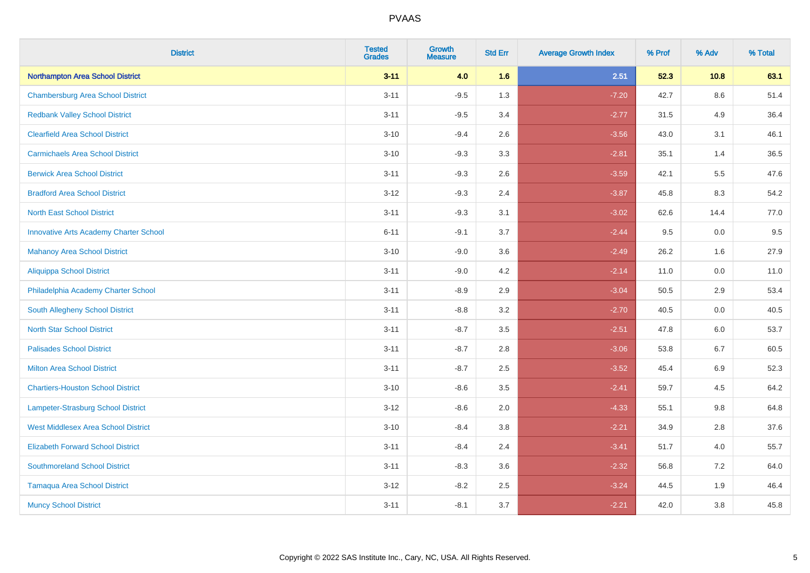| <b>District</b>                               | <b>Tested</b><br><b>Grades</b> | <b>Growth</b><br><b>Measure</b> | <b>Std Err</b> | <b>Average Growth Index</b> | % Prof | % Adv   | % Total |
|-----------------------------------------------|--------------------------------|---------------------------------|----------------|-----------------------------|--------|---------|---------|
| Northampton Area School District              | $3 - 11$                       | 4.0                             | 1.6            | 2.51                        | 52.3   | 10.8    | 63.1    |
| <b>Chambersburg Area School District</b>      | $3 - 11$                       | $-9.5$                          | 1.3            | $-7.20$                     | 42.7   | $8.6\,$ | 51.4    |
| <b>Redbank Valley School District</b>         | $3 - 11$                       | $-9.5$                          | 3.4            | $-2.77$                     | 31.5   | 4.9     | 36.4    |
| <b>Clearfield Area School District</b>        | $3 - 10$                       | $-9.4$                          | 2.6            | $-3.56$                     | 43.0   | 3.1     | 46.1    |
| <b>Carmichaels Area School District</b>       | $3 - 10$                       | $-9.3$                          | 3.3            | $-2.81$                     | 35.1   | 1.4     | 36.5    |
| <b>Berwick Area School District</b>           | $3 - 11$                       | $-9.3$                          | 2.6            | $-3.59$                     | 42.1   | 5.5     | 47.6    |
| <b>Bradford Area School District</b>          | $3 - 12$                       | $-9.3$                          | 2.4            | $-3.87$                     | 45.8   | 8.3     | 54.2    |
| <b>North East School District</b>             | $3 - 11$                       | $-9.3$                          | 3.1            | $-3.02$                     | 62.6   | 14.4    | 77.0    |
| <b>Innovative Arts Academy Charter School</b> | $6 - 11$                       | $-9.1$                          | 3.7            | $-2.44$                     | 9.5    | 0.0     | 9.5     |
| <b>Mahanoy Area School District</b>           | $3 - 10$                       | $-9.0$                          | 3.6            | $-2.49$                     | 26.2   | 1.6     | 27.9    |
| Aliquippa School District                     | $3 - 11$                       | $-9.0$                          | 4.2            | $-2.14$                     | 11.0   | 0.0     | 11.0    |
| Philadelphia Academy Charter School           | $3 - 11$                       | $-8.9$                          | 2.9            | $-3.04$                     | 50.5   | 2.9     | 53.4    |
| South Allegheny School District               | $3 - 11$                       | $-8.8$                          | 3.2            | $-2.70$                     | 40.5   | 0.0     | 40.5    |
| <b>North Star School District</b>             | $3 - 11$                       | $-8.7$                          | 3.5            | $-2.51$                     | 47.8   | 6.0     | 53.7    |
| <b>Palisades School District</b>              | $3 - 11$                       | $-8.7$                          | 2.8            | $-3.06$                     | 53.8   | 6.7     | 60.5    |
| <b>Milton Area School District</b>            | $3 - 11$                       | $-8.7$                          | 2.5            | $-3.52$                     | 45.4   | $6.9\,$ | 52.3    |
| <b>Chartiers-Houston School District</b>      | $3 - 10$                       | $-8.6$                          | 3.5            | $-2.41$                     | 59.7   | 4.5     | 64.2    |
| Lampeter-Strasburg School District            | $3 - 12$                       | $-8.6$                          | 2.0            | $-4.33$                     | 55.1   | 9.8     | 64.8    |
| <b>West Middlesex Area School District</b>    | $3 - 10$                       | $-8.4$                          | 3.8            | $-2.21$                     | 34.9   | 2.8     | 37.6    |
| <b>Elizabeth Forward School District</b>      | $3 - 11$                       | $-8.4$                          | 2.4            | $-3.41$                     | 51.7   | 4.0     | 55.7    |
| <b>Southmoreland School District</b>          | $3 - 11$                       | $-8.3$                          | 3.6            | $-2.32$                     | 56.8   | 7.2     | 64.0    |
| <b>Tamaqua Area School District</b>           | $3-12$                         | $-8.2$                          | 2.5            | $-3.24$                     | 44.5   | 1.9     | 46.4    |
| <b>Muncy School District</b>                  | $3 - 11$                       | $-8.1$                          | 3.7            | $-2.21$                     | 42.0   | 3.8     | 45.8    |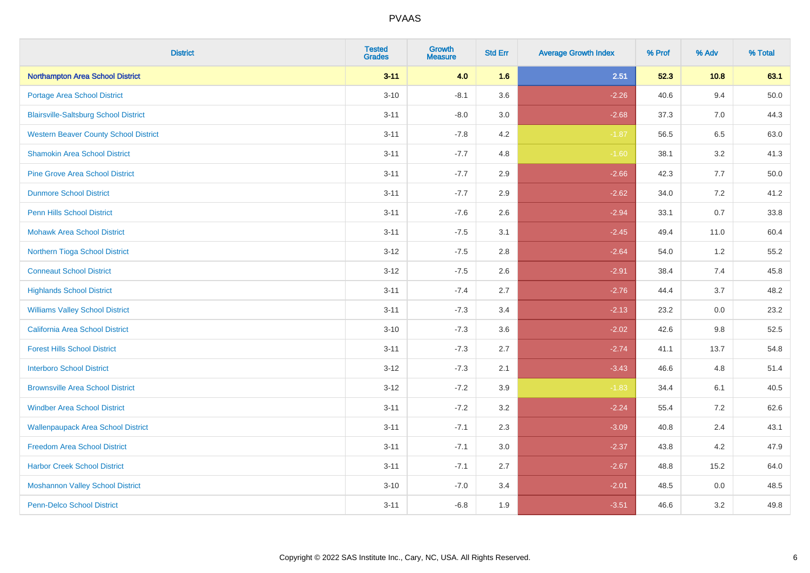| <b>District</b>                              | <b>Tested</b><br><b>Grades</b> | <b>Growth</b><br><b>Measure</b> | <b>Std Err</b> | <b>Average Growth Index</b> | % Prof | % Adv   | % Total  |
|----------------------------------------------|--------------------------------|---------------------------------|----------------|-----------------------------|--------|---------|----------|
| Northampton Area School District             | $3 - 11$                       | 4.0                             | 1.6            | 2.51                        | 52.3   | 10.8    | 63.1     |
| Portage Area School District                 | $3 - 10$                       | $-8.1$                          | 3.6            | $-2.26$                     | 40.6   | 9.4     | $50.0\,$ |
| <b>Blairsville-Saltsburg School District</b> | $3 - 11$                       | $-8.0$                          | 3.0            | $-2.68$                     | 37.3   | 7.0     | 44.3     |
| <b>Western Beaver County School District</b> | $3 - 11$                       | $-7.8$                          | 4.2            | $-1.87$                     | 56.5   | 6.5     | 63.0     |
| <b>Shamokin Area School District</b>         | $3 - 11$                       | $-7.7$                          | 4.8            | $-1.60$                     | 38.1   | 3.2     | 41.3     |
| <b>Pine Grove Area School District</b>       | $3 - 11$                       | $-7.7$                          | 2.9            | $-2.66$                     | 42.3   | 7.7     | 50.0     |
| <b>Dunmore School District</b>               | $3 - 11$                       | $-7.7$                          | 2.9            | $-2.62$                     | 34.0   | 7.2     | 41.2     |
| <b>Penn Hills School District</b>            | $3 - 11$                       | $-7.6$                          | 2.6            | $-2.94$                     | 33.1   | 0.7     | 33.8     |
| <b>Mohawk Area School District</b>           | $3 - 11$                       | $-7.5$                          | 3.1            | $-2.45$                     | 49.4   | 11.0    | 60.4     |
| Northern Tioga School District               | $3 - 12$                       | $-7.5$                          | 2.8            | $-2.64$                     | 54.0   | 1.2     | 55.2     |
| <b>Conneaut School District</b>              | $3 - 12$                       | $-7.5$                          | 2.6            | $-2.91$                     | 38.4   | 7.4     | 45.8     |
| <b>Highlands School District</b>             | $3 - 11$                       | $-7.4$                          | 2.7            | $-2.76$                     | 44.4   | 3.7     | 48.2     |
| <b>Williams Valley School District</b>       | $3 - 11$                       | $-7.3$                          | 3.4            | $-2.13$                     | 23.2   | 0.0     | 23.2     |
| <b>California Area School District</b>       | $3 - 10$                       | $-7.3$                          | 3.6            | $-2.02$                     | 42.6   | 9.8     | 52.5     |
| <b>Forest Hills School District</b>          | $3 - 11$                       | $-7.3$                          | 2.7            | $-2.74$                     | 41.1   | 13.7    | 54.8     |
| <b>Interboro School District</b>             | $3 - 12$                       | $-7.3$                          | 2.1            | $-3.43$                     | 46.6   | 4.8     | 51.4     |
| <b>Brownsville Area School District</b>      | $3 - 12$                       | $-7.2$                          | 3.9            | $-1.83$                     | 34.4   | 6.1     | 40.5     |
| <b>Windber Area School District</b>          | $3 - 11$                       | $-7.2$                          | 3.2            | $-2.24$                     | 55.4   | 7.2     | 62.6     |
| <b>Wallenpaupack Area School District</b>    | $3 - 11$                       | $-7.1$                          | 2.3            | $-3.09$                     | 40.8   | 2.4     | 43.1     |
| <b>Freedom Area School District</b>          | $3 - 11$                       | $-7.1$                          | 3.0            | $-2.37$                     | 43.8   | 4.2     | 47.9     |
| <b>Harbor Creek School District</b>          | $3 - 11$                       | $-7.1$                          | 2.7            | $-2.67$                     | 48.8   | 15.2    | 64.0     |
| <b>Moshannon Valley School District</b>      | $3 - 10$                       | $-7.0$                          | 3.4            | $-2.01$                     | 48.5   | $0.0\,$ | 48.5     |
| <b>Penn-Delco School District</b>            | $3 - 11$                       | $-6.8$                          | 1.9            | $-3.51$                     | 46.6   | 3.2     | 49.8     |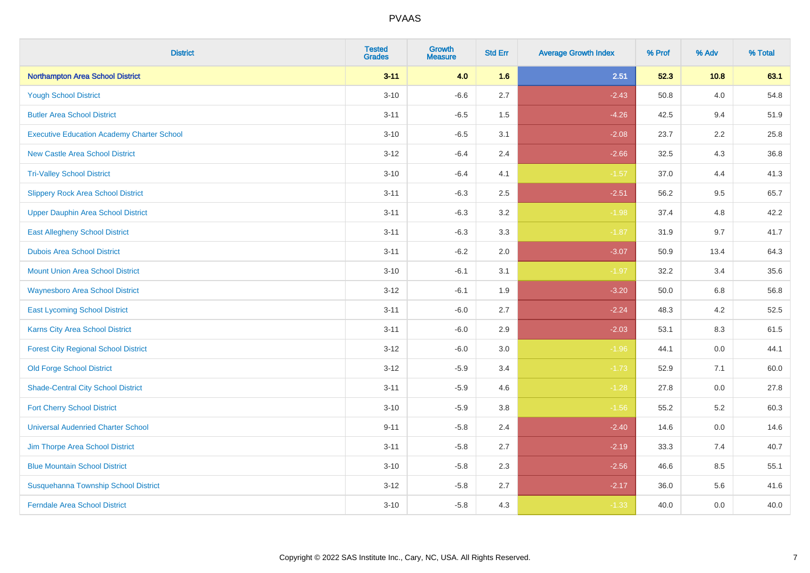| <b>District</b>                                   | <b>Tested</b><br><b>Grades</b> | <b>Growth</b><br><b>Measure</b> | <b>Std Err</b> | <b>Average Growth Index</b> | % Prof | % Adv   | % Total |
|---------------------------------------------------|--------------------------------|---------------------------------|----------------|-----------------------------|--------|---------|---------|
| Northampton Area School District                  | $3 - 11$                       | 4.0                             | 1.6            | 2.51                        | 52.3   | 10.8    | 63.1    |
| <b>Yough School District</b>                      | $3 - 10$                       | $-6.6$                          | 2.7            | $-2.43$                     | 50.8   | 4.0     | 54.8    |
| <b>Butler Area School District</b>                | $3 - 11$                       | $-6.5$                          | 1.5            | $-4.26$                     | 42.5   | 9.4     | 51.9    |
| <b>Executive Education Academy Charter School</b> | $3 - 10$                       | $-6.5$                          | 3.1            | $-2.08$                     | 23.7   | 2.2     | 25.8    |
| <b>New Castle Area School District</b>            | $3 - 12$                       | $-6.4$                          | 2.4            | $-2.66$                     | 32.5   | 4.3     | 36.8    |
| <b>Tri-Valley School District</b>                 | $3 - 10$                       | $-6.4$                          | 4.1            | $-1.57$                     | 37.0   | 4.4     | 41.3    |
| <b>Slippery Rock Area School District</b>         | $3 - 11$                       | $-6.3$                          | 2.5            | $-2.51$                     | 56.2   | 9.5     | 65.7    |
| <b>Upper Dauphin Area School District</b>         | $3 - 11$                       | $-6.3$                          | 3.2            | $-1.98$                     | 37.4   | 4.8     | 42.2    |
| <b>East Allegheny School District</b>             | $3 - 11$                       | $-6.3$                          | 3.3            | $-1.87$                     | 31.9   | 9.7     | 41.7    |
| <b>Dubois Area School District</b>                | $3 - 11$                       | $-6.2$                          | 2.0            | $-3.07$                     | 50.9   | 13.4    | 64.3    |
| <b>Mount Union Area School District</b>           | $3 - 10$                       | $-6.1$                          | 3.1            | $-1.97$                     | 32.2   | 3.4     | 35.6    |
| Waynesboro Area School District                   | $3-12$                         | $-6.1$                          | 1.9            | $-3.20$                     | 50.0   | 6.8     | 56.8    |
| <b>East Lycoming School District</b>              | $3 - 11$                       | $-6.0$                          | 2.7            | $-2.24$                     | 48.3   | $4.2\,$ | 52.5    |
| <b>Karns City Area School District</b>            | $3 - 11$                       | $-6.0$                          | 2.9            | $-2.03$                     | 53.1   | 8.3     | 61.5    |
| <b>Forest City Regional School District</b>       | $3-12$                         | $-6.0$                          | 3.0            | $-1.96$                     | 44.1   | 0.0     | 44.1    |
| <b>Old Forge School District</b>                  | $3 - 12$                       | $-5.9$                          | 3.4            | $-1.73$                     | 52.9   | 7.1     | 60.0    |
| <b>Shade-Central City School District</b>         | $3 - 11$                       | $-5.9$                          | 4.6            | $-1.28$                     | 27.8   | 0.0     | 27.8    |
| <b>Fort Cherry School District</b>                | $3 - 10$                       | $-5.9$                          | 3.8            | $-1.56$                     | 55.2   | 5.2     | 60.3    |
| <b>Universal Audenried Charter School</b>         | $9 - 11$                       | $-5.8$                          | 2.4            | $-2.40$                     | 14.6   | 0.0     | 14.6    |
| Jim Thorpe Area School District                   | $3 - 11$                       | $-5.8$                          | 2.7            | $-2.19$                     | 33.3   | 7.4     | 40.7    |
| <b>Blue Mountain School District</b>              | $3 - 10$                       | $-5.8$                          | 2.3            | $-2.56$                     | 46.6   | 8.5     | 55.1    |
| Susquehanna Township School District              | $3 - 12$                       | $-5.8$                          | 2.7            | $-2.17$                     | 36.0   | 5.6     | 41.6    |
| <b>Ferndale Area School District</b>              | $3 - 10$                       | $-5.8$                          | 4.3            | $-1.33$                     | 40.0   | 0.0     | 40.0    |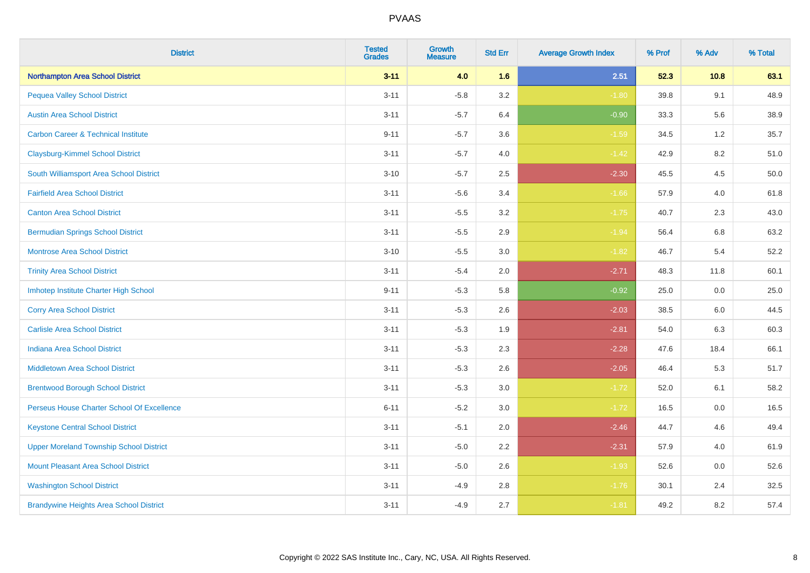| <b>District</b>                                | <b>Tested</b><br><b>Grades</b> | <b>Growth</b><br><b>Measure</b> | <b>Std Err</b> | <b>Average Growth Index</b> | % Prof | % Adv | % Total |
|------------------------------------------------|--------------------------------|---------------------------------|----------------|-----------------------------|--------|-------|---------|
| <b>Northampton Area School District</b>        | $3 - 11$                       | 4.0                             | 1.6            | 2.51                        | 52.3   | 10.8  | 63.1    |
| <b>Pequea Valley School District</b>           | $3 - 11$                       | $-5.8$                          | 3.2            | $-1.80$                     | 39.8   | 9.1   | 48.9    |
| <b>Austin Area School District</b>             | $3 - 11$                       | $-5.7$                          | 6.4            | $-0.90$                     | 33.3   | 5.6   | 38.9    |
| <b>Carbon Career &amp; Technical Institute</b> | $9 - 11$                       | $-5.7$                          | 3.6            | $-1.59$                     | 34.5   | 1.2   | 35.7    |
| <b>Claysburg-Kimmel School District</b>        | $3 - 11$                       | $-5.7$                          | 4.0            | $-1.42$                     | 42.9   | 8.2   | 51.0    |
| South Williamsport Area School District        | $3 - 10$                       | $-5.7$                          | 2.5            | $-2.30$                     | 45.5   | 4.5   | 50.0    |
| <b>Fairfield Area School District</b>          | $3 - 11$                       | $-5.6$                          | 3.4            | $-1.66$                     | 57.9   | 4.0   | 61.8    |
| <b>Canton Area School District</b>             | $3 - 11$                       | $-5.5$                          | 3.2            | $-1.75$                     | 40.7   | 2.3   | 43.0    |
| <b>Bermudian Springs School District</b>       | $3 - 11$                       | $-5.5$                          | 2.9            | $-1.94$                     | 56.4   | 6.8   | 63.2    |
| <b>Montrose Area School District</b>           | $3 - 10$                       | $-5.5$                          | 3.0            | $-1.82$                     | 46.7   | 5.4   | 52.2    |
| <b>Trinity Area School District</b>            | $3 - 11$                       | $-5.4$                          | 2.0            | $-2.71$                     | 48.3   | 11.8  | 60.1    |
| Imhotep Institute Charter High School          | $9 - 11$                       | $-5.3$                          | 5.8            | $-0.92$                     | 25.0   | 0.0   | 25.0    |
| <b>Corry Area School District</b>              | $3 - 11$                       | $-5.3$                          | 2.6            | $-2.03$                     | 38.5   | 6.0   | 44.5    |
| <b>Carlisle Area School District</b>           | $3 - 11$                       | $-5.3$                          | 1.9            | $-2.81$                     | 54.0   | 6.3   | 60.3    |
| <b>Indiana Area School District</b>            | $3 - 11$                       | $-5.3$                          | 2.3            | $-2.28$                     | 47.6   | 18.4  | 66.1    |
| <b>Middletown Area School District</b>         | $3 - 11$                       | $-5.3$                          | 2.6            | $-2.05$                     | 46.4   | 5.3   | 51.7    |
| <b>Brentwood Borough School District</b>       | $3 - 11$                       | $-5.3$                          | 3.0            | $-1.72$                     | 52.0   | 6.1   | 58.2    |
| Perseus House Charter School Of Excellence     | $6 - 11$                       | $-5.2$                          | 3.0            | $-1.72$                     | 16.5   | 0.0   | 16.5    |
| <b>Keystone Central School District</b>        | $3 - 11$                       | $-5.1$                          | 2.0            | $-2.46$                     | 44.7   | 4.6   | 49.4    |
| <b>Upper Moreland Township School District</b> | $3 - 11$                       | $-5.0$                          | 2.2            | $-2.31$                     | 57.9   | 4.0   | 61.9    |
| <b>Mount Pleasant Area School District</b>     | $3 - 11$                       | $-5.0$                          | 2.6            | $-1.93$                     | 52.6   | 0.0   | 52.6    |
| <b>Washington School District</b>              | $3 - 11$                       | $-4.9$                          | 2.8            | $-1.76$                     | 30.1   | 2.4   | 32.5    |
| <b>Brandywine Heights Area School District</b> | $3 - 11$                       | $-4.9$                          | 2.7            | $-1.81$                     | 49.2   | 8.2   | 57.4    |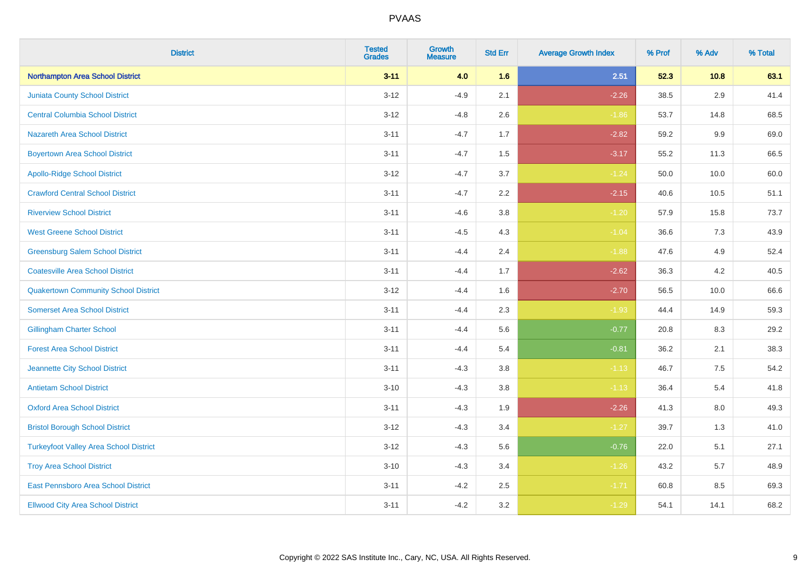| <b>District</b>                               | <b>Tested</b><br><b>Grades</b> | Growth<br><b>Measure</b> | <b>Std Err</b> | <b>Average Growth Index</b> | % Prof | % Adv | % Total |
|-----------------------------------------------|--------------------------------|--------------------------|----------------|-----------------------------|--------|-------|---------|
| <b>Northampton Area School District</b>       | $3 - 11$                       | 4.0                      | 1.6            | 2.51                        | 52.3   | 10.8  | 63.1    |
| <b>Juniata County School District</b>         | $3-12$                         | $-4.9$                   | 2.1            | $-2.26$                     | 38.5   | 2.9   | 41.4    |
| <b>Central Columbia School District</b>       | $3 - 12$                       | $-4.8$                   | 2.6            | $-1.86$                     | 53.7   | 14.8  | 68.5    |
| <b>Nazareth Area School District</b>          | $3 - 11$                       | $-4.7$                   | 1.7            | $-2.82$                     | 59.2   | 9.9   | 69.0    |
| <b>Boyertown Area School District</b>         | $3 - 11$                       | $-4.7$                   | 1.5            | $-3.17$                     | 55.2   | 11.3  | 66.5    |
| <b>Apollo-Ridge School District</b>           | $3 - 12$                       | $-4.7$                   | 3.7            | $-1.24$                     | 50.0   | 10.0  | 60.0    |
| <b>Crawford Central School District</b>       | $3 - 11$                       | $-4.7$                   | 2.2            | $-2.15$                     | 40.6   | 10.5  | 51.1    |
| <b>Riverview School District</b>              | $3 - 11$                       | $-4.6$                   | 3.8            | $-1.20$                     | 57.9   | 15.8  | 73.7    |
| <b>West Greene School District</b>            | $3 - 11$                       | $-4.5$                   | 4.3            | $-1.04$                     | 36.6   | 7.3   | 43.9    |
| <b>Greensburg Salem School District</b>       | $3 - 11$                       | $-4.4$                   | 2.4            | $-1.88$                     | 47.6   | 4.9   | 52.4    |
| <b>Coatesville Area School District</b>       | $3 - 11$                       | $-4.4$                   | 1.7            | $-2.62$                     | 36.3   | 4.2   | 40.5    |
| <b>Quakertown Community School District</b>   | $3 - 12$                       | $-4.4$                   | 1.6            | $-2.70$                     | 56.5   | 10.0  | 66.6    |
| <b>Somerset Area School District</b>          | $3 - 11$                       | $-4.4$                   | 2.3            | $-1.93$                     | 44.4   | 14.9  | 59.3    |
| <b>Gillingham Charter School</b>              | $3 - 11$                       | $-4.4$                   | 5.6            | $-0.77$                     | 20.8   | 8.3   | 29.2    |
| <b>Forest Area School District</b>            | $3 - 11$                       | $-4.4$                   | 5.4            | $-0.81$                     | 36.2   | 2.1   | 38.3    |
| Jeannette City School District                | $3 - 11$                       | $-4.3$                   | 3.8            | $-1.13$                     | 46.7   | 7.5   | 54.2    |
| <b>Antietam School District</b>               | $3 - 10$                       | $-4.3$                   | 3.8            | $-1.13$                     | 36.4   | 5.4   | 41.8    |
| <b>Oxford Area School District</b>            | $3 - 11$                       | $-4.3$                   | 1.9            | $-2.26$                     | 41.3   | 8.0   | 49.3    |
| <b>Bristol Borough School District</b>        | $3-12$                         | $-4.3$                   | 3.4            | $-1.27$                     | 39.7   | 1.3   | 41.0    |
| <b>Turkeyfoot Valley Area School District</b> | $3 - 12$                       | $-4.3$                   | 5.6            | $-0.76$                     | 22.0   | 5.1   | 27.1    |
| <b>Troy Area School District</b>              | $3 - 10$                       | $-4.3$                   | 3.4            | $-1.26$                     | 43.2   | 5.7   | 48.9    |
| East Pennsboro Area School District           | $3 - 11$                       | $-4.2$                   | 2.5            | $-1.71$                     | 60.8   | 8.5   | 69.3    |
| <b>Ellwood City Area School District</b>      | $3 - 11$                       | $-4.2$                   | 3.2            | $-1.29$                     | 54.1   | 14.1  | 68.2    |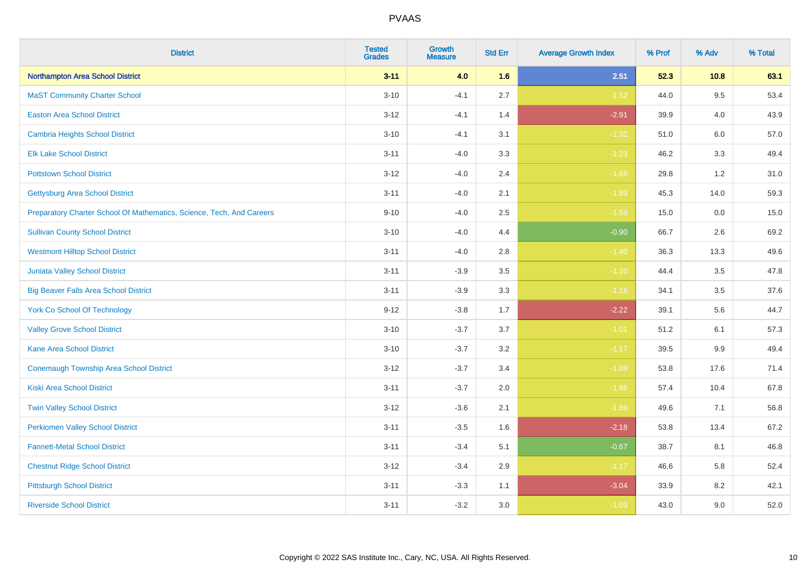| <b>District</b>                                                       | <b>Tested</b><br><b>Grades</b> | <b>Growth</b><br><b>Measure</b> | <b>Std Err</b> | <b>Average Growth Index</b> | % Prof | % Adv   | % Total |
|-----------------------------------------------------------------------|--------------------------------|---------------------------------|----------------|-----------------------------|--------|---------|---------|
| Northampton Area School District                                      | $3 - 11$                       | 4.0                             | 1.6            | 2.51                        | 52.3   | 10.8    | 63.1    |
| <b>MaST Community Charter School</b>                                  | $3 - 10$                       | $-4.1$                          | 2.7            | $-1.52$                     | 44.0   | $9.5\,$ | 53.4    |
| <b>Easton Area School District</b>                                    | $3 - 12$                       | $-4.1$                          | 1.4            | $-2.91$                     | 39.9   | 4.0     | 43.9    |
| <b>Cambria Heights School District</b>                                | $3 - 10$                       | $-4.1$                          | 3.1            | $-1.32$                     | 51.0   | 6.0     | 57.0    |
| <b>Elk Lake School District</b>                                       | $3 - 11$                       | $-4.0$                          | 3.3            | $-1.23$                     | 46.2   | 3.3     | 49.4    |
| <b>Pottstown School District</b>                                      | $3 - 12$                       | $-4.0$                          | 2.4            | $-1.68$                     | 29.8   | 1.2     | 31.0    |
| <b>Gettysburg Area School District</b>                                | $3 - 11$                       | $-4.0$                          | 2.1            | $-1.89$                     | 45.3   | 14.0    | 59.3    |
| Preparatory Charter School Of Mathematics, Science, Tech, And Careers | $9 - 10$                       | $-4.0$                          | 2.5            | $-1.59$                     | 15.0   | 0.0     | 15.0    |
| <b>Sullivan County School District</b>                                | $3 - 10$                       | $-4.0$                          | 4.4            | $-0.90$                     | 66.7   | 2.6     | 69.2    |
| <b>Westmont Hilltop School District</b>                               | $3 - 11$                       | $-4.0$                          | 2.8            | $-1.40$                     | 36.3   | 13.3    | 49.6    |
| Juniata Valley School District                                        | $3 - 11$                       | $-3.9$                          | 3.5            | $-1.10$                     | 44.4   | 3.5     | 47.8    |
| <b>Big Beaver Falls Area School District</b>                          | $3 - 11$                       | $-3.9$                          | 3.3            | $-1.18$                     | 34.1   | 3.5     | 37.6    |
| <b>York Co School Of Technology</b>                                   | $9 - 12$                       | $-3.8$                          | 1.7            | $-2.22$                     | 39.1   | 5.6     | 44.7    |
| <b>Valley Grove School District</b>                                   | $3 - 10$                       | $-3.7$                          | 3.7            | $-1.01$                     | 51.2   | 6.1     | 57.3    |
| <b>Kane Area School District</b>                                      | $3 - 10$                       | $-3.7$                          | 3.2            | $-1.17$                     | 39.5   | 9.9     | 49.4    |
| <b>Conemaugh Township Area School District</b>                        | $3 - 12$                       | $-3.7$                          | 3.4            | $-1.09$                     | 53.8   | 17.6    | 71.4    |
| <b>Kiski Area School District</b>                                     | $3 - 11$                       | $-3.7$                          | 2.0            | $-1.86$                     | 57.4   | 10.4    | 67.8    |
| <b>Twin Valley School District</b>                                    | $3 - 12$                       | $-3.6$                          | 2.1            | $-1.69$                     | 49.6   | 7.1     | 56.8    |
| <b>Perkiomen Valley School District</b>                               | $3 - 11$                       | $-3.5$                          | 1.6            | $-2.18$                     | 53.8   | 13.4    | 67.2    |
| <b>Fannett-Metal School District</b>                                  | $3 - 11$                       | $-3.4$                          | 5.1            | $-0.67$                     | 38.7   | 8.1     | 46.8    |
| <b>Chestnut Ridge School District</b>                                 | $3 - 12$                       | $-3.4$                          | 2.9            | $-1.17$                     | 46.6   | 5.8     | 52.4    |
| <b>Pittsburgh School District</b>                                     | $3 - 11$                       | $-3.3$                          | 1.1            | $-3.04$                     | 33.9   | 8.2     | 42.1    |
| <b>Riverside School District</b>                                      | $3 - 11$                       | $-3.2$                          | 3.0            | $-1.09$                     | 43.0   | 9.0     | 52.0    |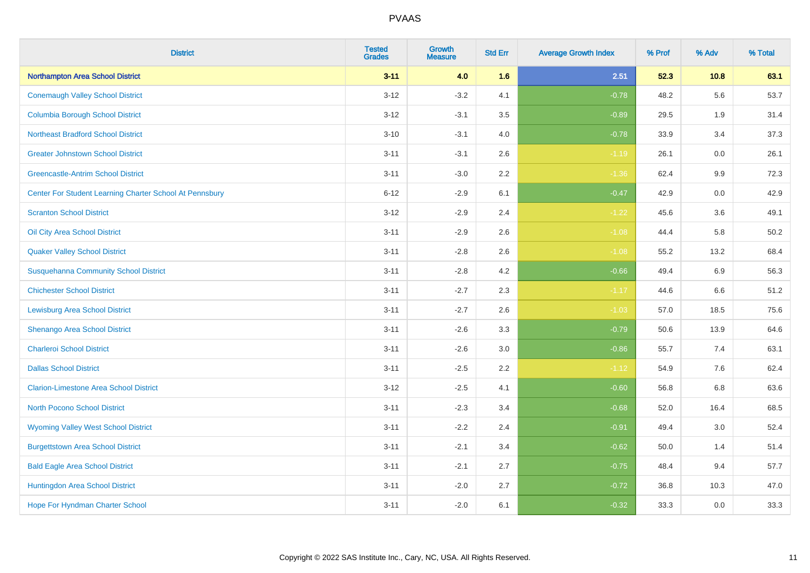| <b>District</b>                                         | <b>Tested</b><br><b>Grades</b> | <b>Growth</b><br><b>Measure</b> | <b>Std Err</b> | <b>Average Growth Index</b> | % Prof | % Adv   | % Total |
|---------------------------------------------------------|--------------------------------|---------------------------------|----------------|-----------------------------|--------|---------|---------|
| <b>Northampton Area School District</b>                 | $3 - 11$                       | 4.0                             | 1.6            | 2.51                        | 52.3   | 10.8    | 63.1    |
| <b>Conemaugh Valley School District</b>                 | $3 - 12$                       | $-3.2$                          | 4.1            | $-0.78$                     | 48.2   | 5.6     | 53.7    |
| <b>Columbia Borough School District</b>                 | $3 - 12$                       | $-3.1$                          | 3.5            | $-0.89$                     | 29.5   | 1.9     | 31.4    |
| <b>Northeast Bradford School District</b>               | $3 - 10$                       | $-3.1$                          | 4.0            | $-0.78$                     | 33.9   | 3.4     | 37.3    |
| <b>Greater Johnstown School District</b>                | $3 - 11$                       | $-3.1$                          | 2.6            | $-1.19$                     | 26.1   | 0.0     | 26.1    |
| <b>Greencastle-Antrim School District</b>               | $3 - 11$                       | $-3.0$                          | 2.2            | $-1.36$                     | 62.4   | 9.9     | 72.3    |
| Center For Student Learning Charter School At Pennsbury | $6 - 12$                       | $-2.9$                          | 6.1            | $-0.47$                     | 42.9   | 0.0     | 42.9    |
| <b>Scranton School District</b>                         | $3 - 12$                       | $-2.9$                          | 2.4            | $-1.22$                     | 45.6   | 3.6     | 49.1    |
| Oil City Area School District                           | $3 - 11$                       | $-2.9$                          | 2.6            | $-1.08$                     | 44.4   | 5.8     | 50.2    |
| <b>Quaker Valley School District</b>                    | $3 - 11$                       | $-2.8$                          | 2.6            | $-1.08$                     | 55.2   | 13.2    | 68.4    |
| <b>Susquehanna Community School District</b>            | $3 - 11$                       | $-2.8$                          | 4.2            | $-0.66$                     | 49.4   | 6.9     | 56.3    |
| <b>Chichester School District</b>                       | $3 - 11$                       | $-2.7$                          | 2.3            | $-1.17$                     | 44.6   | 6.6     | 51.2    |
| <b>Lewisburg Area School District</b>                   | $3 - 11$                       | $-2.7$                          | 2.6            | $-1.03$                     | 57.0   | 18.5    | 75.6    |
| Shenango Area School District                           | $3 - 11$                       | $-2.6$                          | 3.3            | $-0.79$                     | 50.6   | 13.9    | 64.6    |
| <b>Charleroi School District</b>                        | $3 - 11$                       | $-2.6$                          | 3.0            | $-0.86$                     | 55.7   | 7.4     | 63.1    |
| <b>Dallas School District</b>                           | $3 - 11$                       | $-2.5$                          | 2.2            | $-1.12$                     | 54.9   | $7.6\,$ | 62.4    |
| <b>Clarion-Limestone Area School District</b>           | $3 - 12$                       | $-2.5$                          | 4.1            | $-0.60$                     | 56.8   | 6.8     | 63.6    |
| North Pocono School District                            | $3 - 11$                       | $-2.3$                          | 3.4            | $-0.68$                     | 52.0   | 16.4    | 68.5    |
| <b>Wyoming Valley West School District</b>              | $3 - 11$                       | $-2.2$                          | 2.4            | $-0.91$                     | 49.4   | 3.0     | 52.4    |
| <b>Burgettstown Area School District</b>                | $3 - 11$                       | $-2.1$                          | 3.4            | $-0.62$                     | 50.0   | 1.4     | 51.4    |
| <b>Bald Eagle Area School District</b>                  | $3 - 11$                       | $-2.1$                          | 2.7            | $-0.75$                     | 48.4   | 9.4     | 57.7    |
| Huntingdon Area School District                         | $3 - 11$                       | $-2.0$                          | 2.7            | $-0.72$                     | 36.8   | 10.3    | 47.0    |
| <b>Hope For Hyndman Charter School</b>                  | $3 - 11$                       | $-2.0$                          | 6.1            | $-0.32$                     | 33.3   | 0.0     | 33.3    |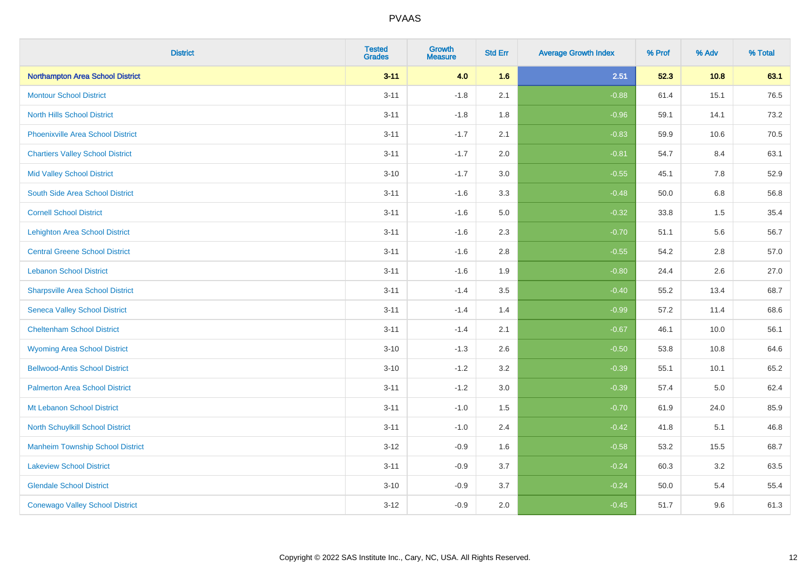| <b>District</b>                          | <b>Tested</b><br><b>Grades</b> | <b>Growth</b><br><b>Measure</b> | <b>Std Err</b> | <b>Average Growth Index</b> | % Prof | % Adv | % Total |
|------------------------------------------|--------------------------------|---------------------------------|----------------|-----------------------------|--------|-------|---------|
| Northampton Area School District         | $3 - 11$                       | 4.0                             | 1.6            | 2.51                        | 52.3   | 10.8  | 63.1    |
| <b>Montour School District</b>           | $3 - 11$                       | $-1.8$                          | 2.1            | $-0.88$                     | 61.4   | 15.1  | 76.5    |
| <b>North Hills School District</b>       | $3 - 11$                       | $-1.8$                          | 1.8            | $-0.96$                     | 59.1   | 14.1  | 73.2    |
| <b>Phoenixville Area School District</b> | $3 - 11$                       | $-1.7$                          | 2.1            | $-0.83$                     | 59.9   | 10.6  | 70.5    |
| <b>Chartiers Valley School District</b>  | $3 - 11$                       | $-1.7$                          | 2.0            | $-0.81$                     | 54.7   | 8.4   | 63.1    |
| <b>Mid Valley School District</b>        | $3 - 10$                       | $-1.7$                          | 3.0            | $-0.55$                     | 45.1   | 7.8   | 52.9    |
| South Side Area School District          | $3 - 11$                       | $-1.6$                          | 3.3            | $-0.48$                     | 50.0   | 6.8   | 56.8    |
| <b>Cornell School District</b>           | $3 - 11$                       | $-1.6$                          | 5.0            | $-0.32$                     | 33.8   | 1.5   | 35.4    |
| <b>Lehighton Area School District</b>    | $3 - 11$                       | $-1.6$                          | 2.3            | $-0.70$                     | 51.1   | 5.6   | 56.7    |
| <b>Central Greene School District</b>    | $3 - 11$                       | $-1.6$                          | 2.8            | $-0.55$                     | 54.2   | 2.8   | 57.0    |
| <b>Lebanon School District</b>           | $3 - 11$                       | $-1.6$                          | 1.9            | $-0.80$                     | 24.4   | 2.6   | 27.0    |
| <b>Sharpsville Area School District</b>  | $3 - 11$                       | $-1.4$                          | 3.5            | $-0.40$                     | 55.2   | 13.4  | 68.7    |
| <b>Seneca Valley School District</b>     | $3 - 11$                       | $-1.4$                          | 1.4            | $-0.99$                     | 57.2   | 11.4  | 68.6    |
| <b>Cheltenham School District</b>        | $3 - 11$                       | $-1.4$                          | 2.1            | $-0.67$                     | 46.1   | 10.0  | 56.1    |
| <b>Wyoming Area School District</b>      | $3 - 10$                       | $-1.3$                          | 2.6            | $-0.50$                     | 53.8   | 10.8  | 64.6    |
| <b>Bellwood-Antis School District</b>    | $3 - 10$                       | $-1.2$                          | 3.2            | $-0.39$                     | 55.1   | 10.1  | 65.2    |
| <b>Palmerton Area School District</b>    | $3 - 11$                       | $-1.2$                          | 3.0            | $-0.39$                     | 57.4   | 5.0   | 62.4    |
| Mt Lebanon School District               | $3 - 11$                       | $-1.0$                          | 1.5            | $-0.70$                     | 61.9   | 24.0  | 85.9    |
| <b>North Schuylkill School District</b>  | $3 - 11$                       | $-1.0$                          | 2.4            | $-0.42$                     | 41.8   | 5.1   | 46.8    |
| <b>Manheim Township School District</b>  | $3 - 12$                       | $-0.9$                          | 1.6            | $-0.58$                     | 53.2   | 15.5  | 68.7    |
| <b>Lakeview School District</b>          | $3 - 11$                       | $-0.9$                          | 3.7            | $-0.24$                     | 60.3   | 3.2   | 63.5    |
| <b>Glendale School District</b>          | $3 - 10$                       | $-0.9$                          | 3.7            | $-0.24$                     | 50.0   | 5.4   | 55.4    |
| <b>Conewago Valley School District</b>   | $3 - 12$                       | $-0.9$                          | 2.0            | $-0.45$                     | 51.7   | 9.6   | 61.3    |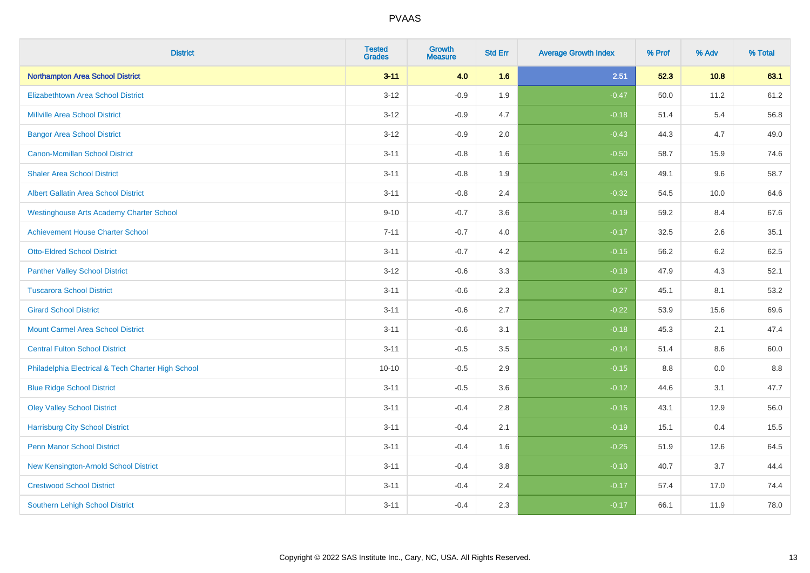| <b>District</b>                                    | <b>Tested</b><br><b>Grades</b> | <b>Growth</b><br><b>Measure</b> | <b>Std Err</b> | <b>Average Growth Index</b> | % Prof | % Adv   | % Total |
|----------------------------------------------------|--------------------------------|---------------------------------|----------------|-----------------------------|--------|---------|---------|
| Northampton Area School District                   | $3 - 11$                       | 4.0                             | 1.6            | 2.51                        | 52.3   | 10.8    | 63.1    |
| <b>Elizabethtown Area School District</b>          | $3 - 12$                       | $-0.9$                          | 1.9            | $-0.47$                     | 50.0   | 11.2    | 61.2    |
| <b>Millville Area School District</b>              | $3 - 12$                       | $-0.9$                          | 4.7            | $-0.18$                     | 51.4   | 5.4     | 56.8    |
| <b>Bangor Area School District</b>                 | $3 - 12$                       | $-0.9$                          | 2.0            | $-0.43$                     | 44.3   | 4.7     | 49.0    |
| <b>Canon-Mcmillan School District</b>              | $3 - 11$                       | $-0.8$                          | 1.6            | $-0.50$                     | 58.7   | 15.9    | 74.6    |
| <b>Shaler Area School District</b>                 | $3 - 11$                       | $-0.8$                          | 1.9            | $-0.43$                     | 49.1   | 9.6     | 58.7    |
| <b>Albert Gallatin Area School District</b>        | $3 - 11$                       | $-0.8$                          | 2.4            | $-0.32$                     | 54.5   | 10.0    | 64.6    |
| <b>Westinghouse Arts Academy Charter School</b>    | $9 - 10$                       | $-0.7$                          | 3.6            | $-0.19$                     | 59.2   | 8.4     | 67.6    |
| <b>Achievement House Charter School</b>            | $7 - 11$                       | $-0.7$                          | 4.0            | $-0.17$                     | 32.5   | 2.6     | 35.1    |
| <b>Otto-Eldred School District</b>                 | $3 - 11$                       | $-0.7$                          | 4.2            | $-0.15$                     | 56.2   | $6.2\,$ | 62.5    |
| <b>Panther Valley School District</b>              | $3 - 12$                       | $-0.6$                          | 3.3            | $-0.19$                     | 47.9   | 4.3     | 52.1    |
| <b>Tuscarora School District</b>                   | $3 - 11$                       | $-0.6$                          | 2.3            | $-0.27$                     | 45.1   | 8.1     | 53.2    |
| <b>Girard School District</b>                      | $3 - 11$                       | $-0.6$                          | 2.7            | $-0.22$                     | 53.9   | 15.6    | 69.6    |
| <b>Mount Carmel Area School District</b>           | $3 - 11$                       | $-0.6$                          | 3.1            | $-0.18$                     | 45.3   | 2.1     | 47.4    |
| <b>Central Fulton School District</b>              | $3 - 11$                       | $-0.5$                          | 3.5            | $-0.14$                     | 51.4   | 8.6     | 60.0    |
| Philadelphia Electrical & Tech Charter High School | $10 - 10$                      | $-0.5$                          | 2.9            | $-0.15$                     | 8.8    | 0.0     | 8.8     |
| <b>Blue Ridge School District</b>                  | $3 - 11$                       | $-0.5$                          | 3.6            | $-0.12$                     | 44.6   | 3.1     | 47.7    |
| <b>Oley Valley School District</b>                 | $3 - 11$                       | $-0.4$                          | 2.8            | $-0.15$                     | 43.1   | 12.9    | 56.0    |
| <b>Harrisburg City School District</b>             | $3 - 11$                       | $-0.4$                          | 2.1            | $-0.19$                     | 15.1   | 0.4     | 15.5    |
| <b>Penn Manor School District</b>                  | $3 - 11$                       | $-0.4$                          | 1.6            | $-0.25$                     | 51.9   | 12.6    | 64.5    |
| New Kensington-Arnold School District              | $3 - 11$                       | $-0.4$                          | 3.8            | $-0.10$                     | 40.7   | 3.7     | 44.4    |
| <b>Crestwood School District</b>                   | $3 - 11$                       | $-0.4$                          | 2.4            | $-0.17$                     | 57.4   | 17.0    | 74.4    |
| <b>Southern Lehigh School District</b>             | $3 - 11$                       | $-0.4$                          | 2.3            | $-0.17$                     | 66.1   | 11.9    | 78.0    |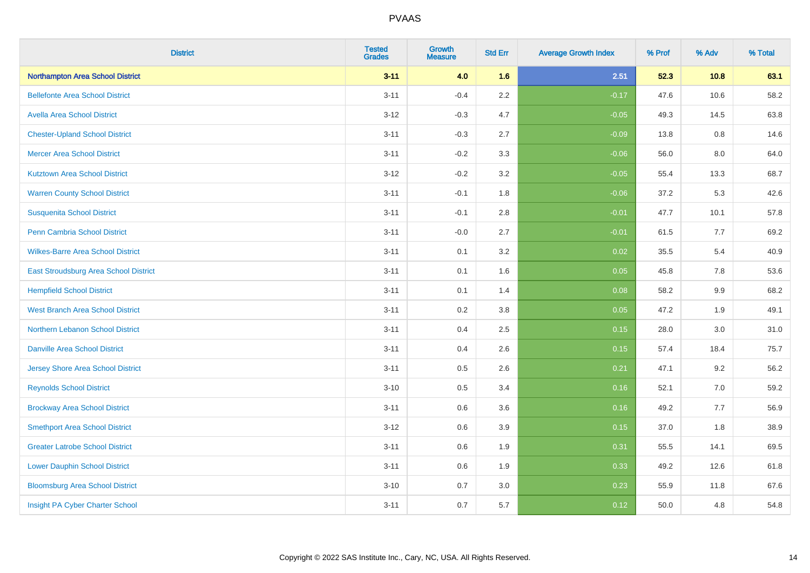| <b>District</b>                          | <b>Tested</b><br><b>Grades</b> | <b>Growth</b><br><b>Measure</b> | <b>Std Err</b> | <b>Average Growth Index</b> | % Prof | % Adv | % Total |
|------------------------------------------|--------------------------------|---------------------------------|----------------|-----------------------------|--------|-------|---------|
| Northampton Area School District         | $3 - 11$                       | 4.0                             | 1.6            | 2.51                        | 52.3   | 10.8  | 63.1    |
| <b>Bellefonte Area School District</b>   | $3 - 11$                       | $-0.4$                          | $2.2\,$        | $-0.17$                     | 47.6   | 10.6  | 58.2    |
| <b>Avella Area School District</b>       | $3 - 12$                       | $-0.3$                          | 4.7            | $-0.05$                     | 49.3   | 14.5  | 63.8    |
| <b>Chester-Upland School District</b>    | $3 - 11$                       | $-0.3$                          | 2.7            | $-0.09$                     | 13.8   | 0.8   | 14.6    |
| <b>Mercer Area School District</b>       | $3 - 11$                       | $-0.2$                          | 3.3            | $-0.06$                     | 56.0   | 8.0   | 64.0    |
| <b>Kutztown Area School District</b>     | $3 - 12$                       | $-0.2$                          | 3.2            | $-0.05$                     | 55.4   | 13.3  | 68.7    |
| <b>Warren County School District</b>     | $3 - 11$                       | $-0.1$                          | 1.8            | $-0.06$                     | 37.2   | 5.3   | 42.6    |
| <b>Susquenita School District</b>        | $3 - 11$                       | $-0.1$                          | $2.8\,$        | $-0.01$                     | 47.7   | 10.1  | 57.8    |
| Penn Cambria School District             | $3 - 11$                       | $-0.0$                          | 2.7            | $-0.01$                     | 61.5   | 7.7   | 69.2    |
| <b>Wilkes-Barre Area School District</b> | $3 - 11$                       | 0.1                             | 3.2            | 0.02                        | 35.5   | 5.4   | 40.9    |
| East Stroudsburg Area School District    | $3 - 11$                       | 0.1                             | 1.6            | 0.05                        | 45.8   | 7.8   | 53.6    |
| <b>Hempfield School District</b>         | $3 - 11$                       | 0.1                             | 1.4            | 0.08                        | 58.2   | 9.9   | 68.2    |
| <b>West Branch Area School District</b>  | $3 - 11$                       | 0.2                             | $3.8\,$        | 0.05                        | 47.2   | 1.9   | 49.1    |
| Northern Lebanon School District         | $3 - 11$                       | 0.4                             | 2.5            | 0.15                        | 28.0   | 3.0   | 31.0    |
| <b>Danville Area School District</b>     | $3 - 11$                       | 0.4                             | 2.6            | 0.15                        | 57.4   | 18.4  | 75.7    |
| <b>Jersey Shore Area School District</b> | $3 - 11$                       | 0.5                             | 2.6            | 0.21                        | 47.1   | 9.2   | 56.2    |
| <b>Reynolds School District</b>          | $3 - 10$                       | 0.5                             | 3.4            | 0.16                        | 52.1   | 7.0   | 59.2    |
| <b>Brockway Area School District</b>     | $3 - 11$                       | 0.6                             | 3.6            | 0.16                        | 49.2   | 7.7   | 56.9    |
| <b>Smethport Area School District</b>    | $3 - 12$                       | 0.6                             | 3.9            | 0.15                        | 37.0   | 1.8   | 38.9    |
| <b>Greater Latrobe School District</b>   | $3 - 11$                       | 0.6                             | 1.9            | 0.31                        | 55.5   | 14.1  | 69.5    |
| <b>Lower Dauphin School District</b>     | $3 - 11$                       | 0.6                             | 1.9            | 0.33                        | 49.2   | 12.6  | 61.8    |
| <b>Bloomsburg Area School District</b>   | $3 - 10$                       | 0.7                             | 3.0            | 0.23                        | 55.9   | 11.8  | 67.6    |
| Insight PA Cyber Charter School          | $3 - 11$                       | 0.7                             | 5.7            | 0.12                        | 50.0   | 4.8   | 54.8    |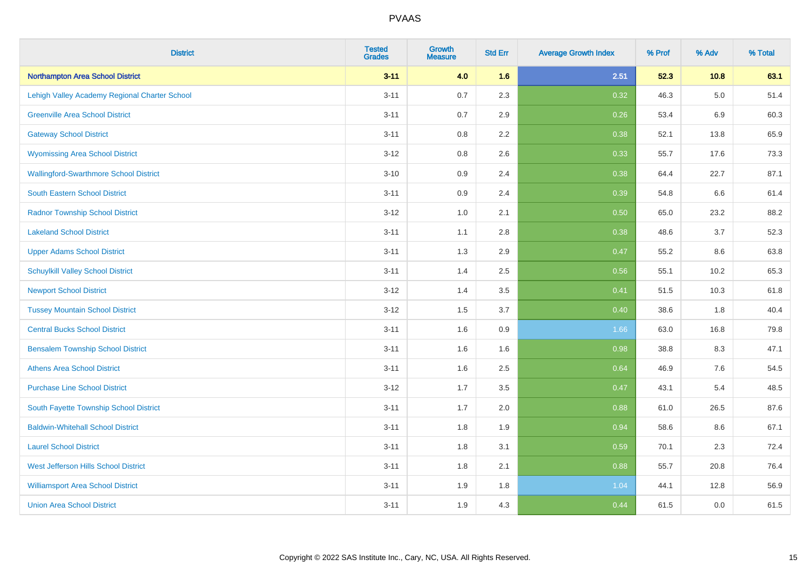| <b>District</b>                               | <b>Tested</b><br><b>Grades</b> | <b>Growth</b><br><b>Measure</b> | <b>Std Err</b> | <b>Average Growth Index</b> | % Prof | % Adv   | % Total |
|-----------------------------------------------|--------------------------------|---------------------------------|----------------|-----------------------------|--------|---------|---------|
| Northampton Area School District              | $3 - 11$                       | 4.0                             | 1.6            | 2.51                        | 52.3   | 10.8    | 63.1    |
| Lehigh Valley Academy Regional Charter School | $3 - 11$                       | 0.7                             | 2.3            | 0.32                        | 46.3   | $5.0\,$ | 51.4    |
| <b>Greenville Area School District</b>        | $3 - 11$                       | 0.7                             | 2.9            | 0.26                        | 53.4   | 6.9     | 60.3    |
| <b>Gateway School District</b>                | $3 - 11$                       | $0.8\,$                         | 2.2            | 0.38                        | 52.1   | 13.8    | 65.9    |
| <b>Wyomissing Area School District</b>        | $3 - 12$                       | 0.8                             | 2.6            | 0.33                        | 55.7   | 17.6    | 73.3    |
| <b>Wallingford-Swarthmore School District</b> | $3 - 10$                       | 0.9                             | 2.4            | 0.38                        | 64.4   | 22.7    | 87.1    |
| South Eastern School District                 | $3 - 11$                       | 0.9                             | 2.4            | 0.39                        | 54.8   | 6.6     | 61.4    |
| <b>Radnor Township School District</b>        | $3 - 12$                       | 1.0                             | 2.1            | 0.50                        | 65.0   | 23.2    | 88.2    |
| <b>Lakeland School District</b>               | $3 - 11$                       | 1.1                             | 2.8            | 0.38                        | 48.6   | 3.7     | 52.3    |
| <b>Upper Adams School District</b>            | $3 - 11$                       | 1.3                             | 2.9            | 0.47                        | 55.2   | 8.6     | 63.8    |
| <b>Schuylkill Valley School District</b>      | $3 - 11$                       | 1.4                             | 2.5            | 0.56                        | 55.1   | 10.2    | 65.3    |
| <b>Newport School District</b>                | $3 - 12$                       | 1.4                             | 3.5            | 0.41                        | 51.5   | 10.3    | 61.8    |
| <b>Tussey Mountain School District</b>        | $3 - 12$                       | 1.5                             | 3.7            | 0.40                        | 38.6   | 1.8     | 40.4    |
| <b>Central Bucks School District</b>          | $3 - 11$                       | 1.6                             | $0.9\,$        | 1.66                        | 63.0   | 16.8    | 79.8    |
| <b>Bensalem Township School District</b>      | $3 - 11$                       | 1.6                             | 1.6            | 0.98                        | 38.8   | 8.3     | 47.1    |
| <b>Athens Area School District</b>            | $3 - 11$                       | 1.6                             | 2.5            | 0.64                        | 46.9   | 7.6     | 54.5    |
| <b>Purchase Line School District</b>          | $3 - 12$                       | 1.7                             | 3.5            | 0.47                        | 43.1   | 5.4     | 48.5    |
| South Fayette Township School District        | $3 - 11$                       | 1.7                             | 2.0            | 0.88                        | 61.0   | 26.5    | 87.6    |
| <b>Baldwin-Whitehall School District</b>      | $3 - 11$                       | 1.8                             | 1.9            | 0.94                        | 58.6   | 8.6     | 67.1    |
| <b>Laurel School District</b>                 | $3 - 11$                       | 1.8                             | 3.1            | 0.59                        | 70.1   | 2.3     | 72.4    |
| <b>West Jefferson Hills School District</b>   | $3 - 11$                       | 1.8                             | 2.1            | 0.88                        | 55.7   | 20.8    | 76.4    |
| <b>Williamsport Area School District</b>      | $3 - 11$                       | 1.9                             | 1.8            | 1.04                        | 44.1   | 12.8    | 56.9    |
| <b>Union Area School District</b>             | $3 - 11$                       | 1.9                             | 4.3            | 0.44                        | 61.5   | 0.0     | 61.5    |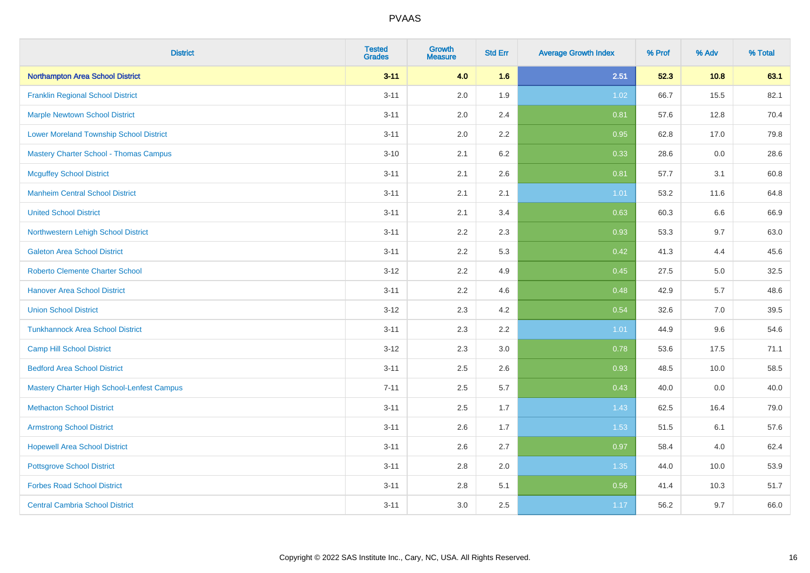| <b>District</b>                                | <b>Tested</b><br><b>Grades</b> | <b>Growth</b><br><b>Measure</b> | <b>Std Err</b> | <b>Average Growth Index</b> | % Prof | % Adv | % Total |
|------------------------------------------------|--------------------------------|---------------------------------|----------------|-----------------------------|--------|-------|---------|
| Northampton Area School District               | $3 - 11$                       | 4.0                             | 1.6            | 2.51                        | 52.3   | 10.8  | 63.1    |
| <b>Franklin Regional School District</b>       | $3 - 11$                       | 2.0                             | 1.9            | 1.02                        | 66.7   | 15.5  | 82.1    |
| <b>Marple Newtown School District</b>          | $3 - 11$                       | 2.0                             | 2.4            | 0.81                        | 57.6   | 12.8  | 70.4    |
| <b>Lower Moreland Township School District</b> | $3 - 11$                       | 2.0                             | 2.2            | 0.95                        | 62.8   | 17.0  | 79.8    |
| Mastery Charter School - Thomas Campus         | $3 - 10$                       | 2.1                             | 6.2            | 0.33                        | 28.6   | 0.0   | 28.6    |
| <b>Mcguffey School District</b>                | $3 - 11$                       | 2.1                             | 2.6            | 0.81                        | 57.7   | 3.1   | 60.8    |
| <b>Manheim Central School District</b>         | $3 - 11$                       | 2.1                             | 2.1            | 1.01                        | 53.2   | 11.6  | 64.8    |
| <b>United School District</b>                  | $3 - 11$                       | 2.1                             | 3.4            | 0.63                        | 60.3   | 6.6   | 66.9    |
| Northwestern Lehigh School District            | $3 - 11$                       | 2.2                             | 2.3            | 0.93                        | 53.3   | 9.7   | 63.0    |
| <b>Galeton Area School District</b>            | $3 - 11$                       | 2.2                             | 5.3            | 0.42                        | 41.3   | 4.4   | 45.6    |
| <b>Roberto Clemente Charter School</b>         | $3 - 12$                       | 2.2                             | 4.9            | 0.45                        | 27.5   | 5.0   | 32.5    |
| <b>Hanover Area School District</b>            | $3 - 11$                       | 2.2                             | 4.6            | 0.48                        | 42.9   | 5.7   | 48.6    |
| <b>Union School District</b>                   | $3 - 12$                       | 2.3                             | 4.2            | 0.54                        | 32.6   | 7.0   | 39.5    |
| <b>Tunkhannock Area School District</b>        | $3 - 11$                       | 2.3                             | 2.2            | 1.01                        | 44.9   | 9.6   | 54.6    |
| <b>Camp Hill School District</b>               | $3 - 12$                       | 2.3                             | 3.0            | 0.78                        | 53.6   | 17.5  | 71.1    |
| <b>Bedford Area School District</b>            | $3 - 11$                       | 2.5                             | 2.6            | 0.93                        | 48.5   | 10.0  | 58.5    |
| Mastery Charter High School-Lenfest Campus     | $7 - 11$                       | 2.5                             | 5.7            | 0.43                        | 40.0   | 0.0   | 40.0    |
| <b>Methacton School District</b>               | $3 - 11$                       | 2.5                             | 1.7            | 1.43                        | 62.5   | 16.4  | 79.0    |
| <b>Armstrong School District</b>               | $3 - 11$                       | 2.6                             | 1.7            | 1.53                        | 51.5   | 6.1   | 57.6    |
| <b>Hopewell Area School District</b>           | $3 - 11$                       | 2.6                             | 2.7            | 0.97                        | 58.4   | 4.0   | 62.4    |
| <b>Pottsgrove School District</b>              | $3 - 11$                       | 2.8                             | 2.0            | 1.35                        | 44.0   | 10.0  | 53.9    |
| <b>Forbes Road School District</b>             | $3 - 11$                       | $2.8\,$                         | 5.1            | 0.56                        | 41.4   | 10.3  | 51.7    |
| <b>Central Cambria School District</b>         | $3 - 11$                       | 3.0                             | 2.5            | 1.17                        | 56.2   | 9.7   | 66.0    |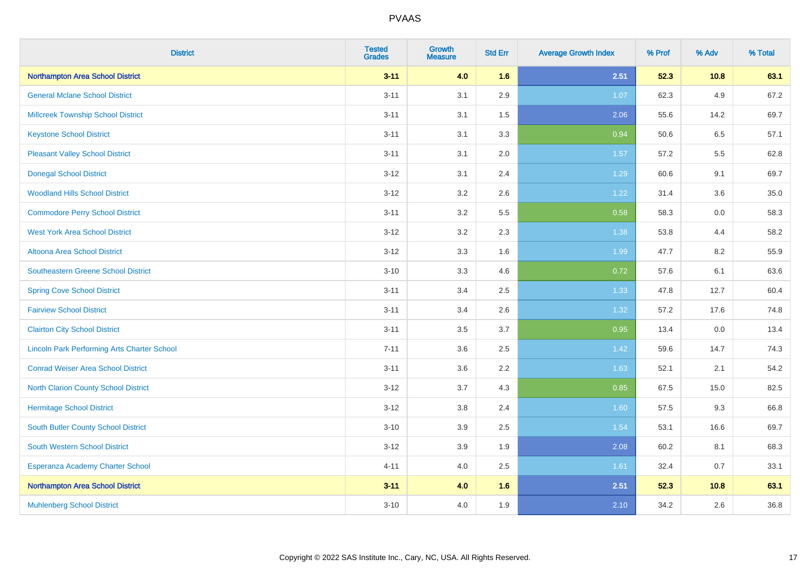| <b>District</b>                                    | <b>Tested</b><br><b>Grades</b> | <b>Growth</b><br><b>Measure</b> | <b>Std Err</b> | <b>Average Growth Index</b> | % Prof | % Adv | % Total |
|----------------------------------------------------|--------------------------------|---------------------------------|----------------|-----------------------------|--------|-------|---------|
| <b>Northampton Area School District</b>            | $3 - 11$                       | 4.0                             | 1.6            | 2.51                        | 52.3   | 10.8  | 63.1    |
| <b>General Mclane School District</b>              | $3 - 11$                       | 3.1                             | 2.9            | 1.07                        | 62.3   | 4.9   | 67.2    |
| <b>Millcreek Township School District</b>          | $3 - 11$                       | 3.1                             | 1.5            | 2.06                        | 55.6   | 14.2  | 69.7    |
| <b>Keystone School District</b>                    | $3 - 11$                       | 3.1                             | 3.3            | 0.94                        | 50.6   | 6.5   | 57.1    |
| <b>Pleasant Valley School District</b>             | $3 - 11$                       | 3.1                             | 2.0            | 1.57                        | 57.2   | 5.5   | 62.8    |
| <b>Donegal School District</b>                     | $3 - 12$                       | 3.1                             | 2.4            | 1.29                        | 60.6   | 9.1   | 69.7    |
| <b>Woodland Hills School District</b>              | $3 - 12$                       | 3.2                             | 2.6            | 1.22                        | 31.4   | 3.6   | 35.0    |
| <b>Commodore Perry School District</b>             | $3 - 11$                       | 3.2                             | 5.5            | 0.58                        | 58.3   | 0.0   | 58.3    |
| <b>West York Area School District</b>              | $3 - 12$                       | 3.2                             | 2.3            | 1.38                        | 53.8   | 4.4   | 58.2    |
| <b>Altoona Area School District</b>                | $3 - 12$                       | 3.3                             | 1.6            | 1.99                        | 47.7   | 8.2   | 55.9    |
| <b>Southeastern Greene School District</b>         | $3 - 10$                       | 3.3                             | 4.6            | 0.72                        | 57.6   | 6.1   | 63.6    |
| <b>Spring Cove School District</b>                 | $3 - 11$                       | 3.4                             | 2.5            | 1.33                        | 47.8   | 12.7  | 60.4    |
| <b>Fairview School District</b>                    | $3 - 11$                       | 3.4                             | 2.6            | 1.32                        | 57.2   | 17.6  | 74.8    |
| <b>Clairton City School District</b>               | $3 - 11$                       | 3.5                             | 3.7            | 0.95                        | 13.4   | 0.0   | 13.4    |
| <b>Lincoln Park Performing Arts Charter School</b> | $7 - 11$                       | 3.6                             | 2.5            | 1.42                        | 59.6   | 14.7  | 74.3    |
| <b>Conrad Weiser Area School District</b>          | $3 - 11$                       | 3.6                             | 2.2            | 1.63                        | 52.1   | 2.1   | 54.2    |
| North Clarion County School District               | $3 - 12$                       | 3.7                             | 4.3            | 0.85                        | 67.5   | 15.0  | 82.5    |
| <b>Hermitage School District</b>                   | $3 - 12$                       | 3.8                             | 2.4            | 1.60                        | 57.5   | 9.3   | 66.8    |
| <b>South Butler County School District</b>         | $3 - 10$                       | 3.9                             | 2.5            | 1.54                        | 53.1   | 16.6  | 69.7    |
| South Western School District                      | $3-12$                         | 3.9                             | 1.9            | 2.08                        | 60.2   | 8.1   | 68.3    |
| Esperanza Academy Charter School                   | $4 - 11$                       | 4.0                             | $2.5\,$        | 1.61                        | 32.4   | 0.7   | 33.1    |
| Northampton Area School District                   | $3 - 11$                       | 4.0                             | 1.6            | 2.51                        | 52.3   | 10.8  | 63.1    |
| <b>Muhlenberg School District</b>                  | $3 - 10$                       | 4.0                             | 1.9            | 2.10                        | 34.2   | 2.6   | 36.8    |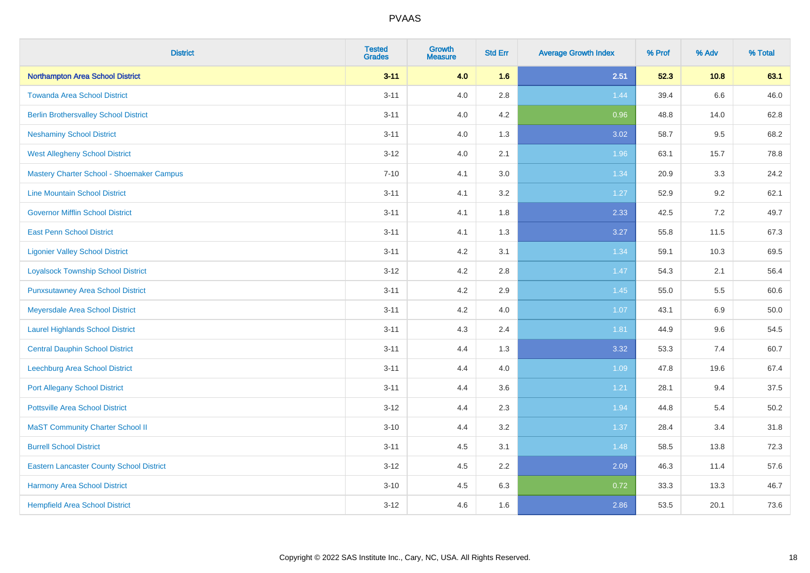| <b>District</b>                                 | <b>Tested</b><br><b>Grades</b> | <b>Growth</b><br><b>Measure</b> | <b>Std Err</b> | <b>Average Growth Index</b> | % Prof | % Adv | % Total |
|-------------------------------------------------|--------------------------------|---------------------------------|----------------|-----------------------------|--------|-------|---------|
| Northampton Area School District                | $3 - 11$                       | 4.0                             | 1.6            | 2.51                        | 52.3   | 10.8  | 63.1    |
| <b>Towanda Area School District</b>             | $3 - 11$                       | 4.0                             | 2.8            | 1.44                        | 39.4   | 6.6   | 46.0    |
| <b>Berlin Brothersvalley School District</b>    | $3 - 11$                       | 4.0                             | 4.2            | 0.96                        | 48.8   | 14.0  | 62.8    |
| <b>Neshaminy School District</b>                | $3 - 11$                       | 4.0                             | 1.3            | 3.02                        | 58.7   | 9.5   | 68.2    |
| <b>West Allegheny School District</b>           | $3 - 12$                       | 4.0                             | 2.1            | 1.96                        | 63.1   | 15.7  | 78.8    |
| Mastery Charter School - Shoemaker Campus       | $7 - 10$                       | 4.1                             | 3.0            | 1.34                        | 20.9   | 3.3   | 24.2    |
| <b>Line Mountain School District</b>            | $3 - 11$                       | 4.1                             | 3.2            | 1.27                        | 52.9   | 9.2   | 62.1    |
| <b>Governor Mifflin School District</b>         | $3 - 11$                       | 4.1                             | 1.8            | 2.33                        | 42.5   | 7.2   | 49.7    |
| <b>East Penn School District</b>                | $3 - 11$                       | 4.1                             | 1.3            | 3.27                        | 55.8   | 11.5  | 67.3    |
| <b>Ligonier Valley School District</b>          | $3 - 11$                       | 4.2                             | 3.1            | 1.34                        | 59.1   | 10.3  | 69.5    |
| <b>Loyalsock Township School District</b>       | $3 - 12$                       | 4.2                             | 2.8            | 1.47                        | 54.3   | 2.1   | 56.4    |
| <b>Punxsutawney Area School District</b>        | $3 - 11$                       | 4.2                             | 2.9            | 1.45                        | 55.0   | 5.5   | 60.6    |
| Meyersdale Area School District                 | $3 - 11$                       | 4.2                             | 4.0            | 1.07                        | 43.1   | 6.9   | 50.0    |
| <b>Laurel Highlands School District</b>         | $3 - 11$                       | 4.3                             | 2.4            | 1.81                        | 44.9   | 9.6   | 54.5    |
| <b>Central Dauphin School District</b>          | $3 - 11$                       | 4.4                             | 1.3            | 3.32                        | 53.3   | 7.4   | 60.7    |
| Leechburg Area School District                  | $3 - 11$                       | 4.4                             | 4.0            | 1.09                        | 47.8   | 19.6  | 67.4    |
| <b>Port Allegany School District</b>            | $3 - 11$                       | 4.4                             | 3.6            | 1.21                        | 28.1   | 9.4   | 37.5    |
| <b>Pottsville Area School District</b>          | $3 - 12$                       | 4.4                             | 2.3            | 1.94                        | 44.8   | 5.4   | 50.2    |
| <b>MaST Community Charter School II</b>         | $3 - 10$                       | 4.4                             | 3.2            | 1.37                        | 28.4   | 3.4   | 31.8    |
| <b>Burrell School District</b>                  | $3 - 11$                       | 4.5                             | 3.1            | 1.48                        | 58.5   | 13.8  | 72.3    |
| <b>Eastern Lancaster County School District</b> | $3-12$                         | 4.5                             | 2.2            | 2.09                        | 46.3   | 11.4  | 57.6    |
| <b>Harmony Area School District</b>             | $3 - 10$                       | 4.5                             | 6.3            | 0.72                        | 33.3   | 13.3  | 46.7    |
| <b>Hempfield Area School District</b>           | $3 - 12$                       | 4.6                             | 1.6            | 2.86                        | 53.5   | 20.1  | 73.6    |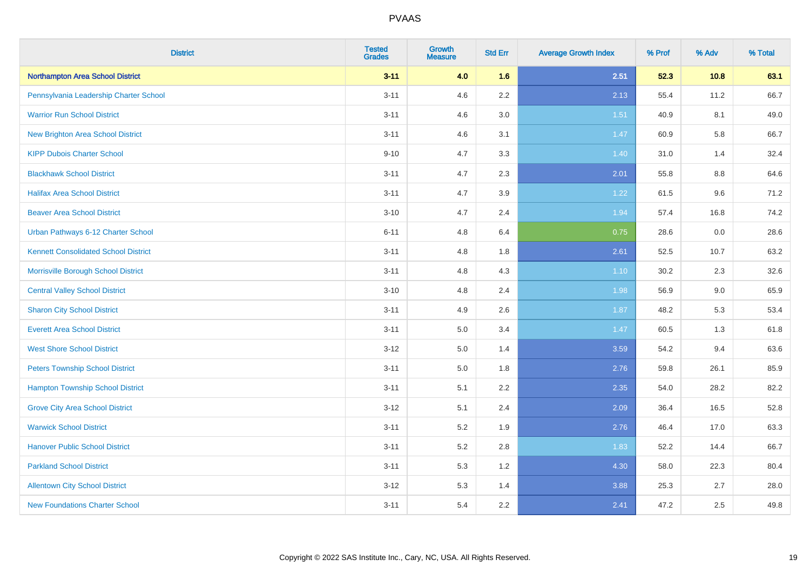| <b>District</b>                             | <b>Tested</b><br><b>Grades</b> | <b>Growth</b><br><b>Measure</b> | <b>Std Err</b> | <b>Average Growth Index</b> | % Prof | % Adv | % Total |
|---------------------------------------------|--------------------------------|---------------------------------|----------------|-----------------------------|--------|-------|---------|
| Northampton Area School District            | $3 - 11$                       | 4.0                             | 1.6            | 2.51                        | 52.3   | 10.8  | 63.1    |
| Pennsylvania Leadership Charter School      | $3 - 11$                       | 4.6                             | $2.2\,$        | 2.13                        | 55.4   | 11.2  | 66.7    |
| <b>Warrior Run School District</b>          | $3 - 11$                       | 4.6                             | 3.0            | 1.51                        | 40.9   | 8.1   | 49.0    |
| <b>New Brighton Area School District</b>    | $3 - 11$                       | 4.6                             | 3.1            | 1.47                        | 60.9   | 5.8   | 66.7    |
| <b>KIPP Dubois Charter School</b>           | $9 - 10$                       | 4.7                             | 3.3            | 1.40                        | 31.0   | 1.4   | 32.4    |
| <b>Blackhawk School District</b>            | $3 - 11$                       | 4.7                             | 2.3            | 2.01                        | 55.8   | 8.8   | 64.6    |
| <b>Halifax Area School District</b>         | $3 - 11$                       | 4.7                             | 3.9            | 1.22                        | 61.5   | 9.6   | 71.2    |
| <b>Beaver Area School District</b>          | $3 - 10$                       | 4.7                             | 2.4            | 1.94                        | 57.4   | 16.8  | 74.2    |
| Urban Pathways 6-12 Charter School          | $6 - 11$                       | 4.8                             | 6.4            | 0.75                        | 28.6   | 0.0   | 28.6    |
| <b>Kennett Consolidated School District</b> | $3 - 11$                       | 4.8                             | 1.8            | 2.61                        | 52.5   | 10.7  | 63.2    |
| Morrisville Borough School District         | $3 - 11$                       | 4.8                             | 4.3            | $1.10$                      | 30.2   | 2.3   | 32.6    |
| <b>Central Valley School District</b>       | $3 - 10$                       | 4.8                             | 2.4            | 1.98                        | 56.9   | 9.0   | 65.9    |
| <b>Sharon City School District</b>          | $3 - 11$                       | 4.9                             | 2.6            | 1.87                        | 48.2   | 5.3   | 53.4    |
| <b>Everett Area School District</b>         | $3 - 11$                       | $5.0\,$                         | 3.4            | 1.47                        | 60.5   | 1.3   | 61.8    |
| <b>West Shore School District</b>           | $3 - 12$                       | 5.0                             | 1.4            | 3.59                        | 54.2   | 9.4   | 63.6    |
| <b>Peters Township School District</b>      | $3 - 11$                       | 5.0                             | 1.8            | 2.76                        | 59.8   | 26.1  | 85.9    |
| <b>Hampton Township School District</b>     | $3 - 11$                       | 5.1                             | 2.2            | 2.35                        | 54.0   | 28.2  | 82.2    |
| <b>Grove City Area School District</b>      | $3 - 12$                       | 5.1                             | 2.4            | 2.09                        | 36.4   | 16.5  | 52.8    |
| <b>Warwick School District</b>              | $3 - 11$                       | 5.2                             | 1.9            | 2.76                        | 46.4   | 17.0  | 63.3    |
| <b>Hanover Public School District</b>       | $3 - 11$                       | 5.2                             | 2.8            | 1.83                        | 52.2   | 14.4  | 66.7    |
| <b>Parkland School District</b>             | $3 - 11$                       | 5.3                             | 1.2            | 4.30                        | 58.0   | 22.3  | 80.4    |
| <b>Allentown City School District</b>       | $3 - 12$                       | 5.3                             | 1.4            | 3.88                        | 25.3   | 2.7   | 28.0    |
| <b>New Foundations Charter School</b>       | $3 - 11$                       | 5.4                             | 2.2            | 2.41                        | 47.2   | 2.5   | 49.8    |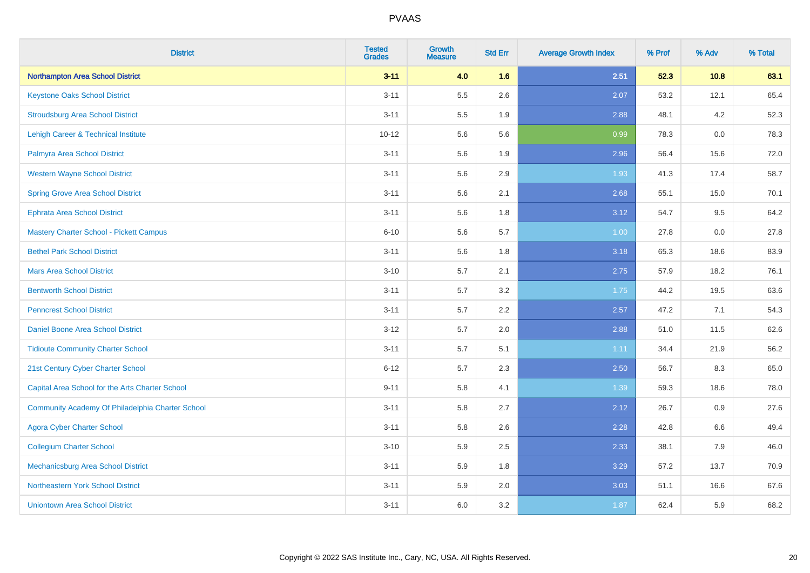| <b>District</b>                                  | <b>Tested</b><br><b>Grades</b> | <b>Growth</b><br><b>Measure</b> | <b>Std Err</b> | <b>Average Growth Index</b> | % Prof | % Adv | % Total |
|--------------------------------------------------|--------------------------------|---------------------------------|----------------|-----------------------------|--------|-------|---------|
| <b>Northampton Area School District</b>          | $3 - 11$                       | 4.0                             | 1.6            | 2.51                        | 52.3   | 10.8  | 63.1    |
| <b>Keystone Oaks School District</b>             | $3 - 11$                       | 5.5                             | 2.6            | 2.07                        | 53.2   | 12.1  | 65.4    |
| <b>Stroudsburg Area School District</b>          | $3 - 11$                       | 5.5                             | 1.9            | 2.88                        | 48.1   | 4.2   | 52.3    |
| Lehigh Career & Technical Institute              | $10 - 12$                      | 5.6                             | 5.6            | 0.99                        | 78.3   | 0.0   | 78.3    |
| Palmyra Area School District                     | $3 - 11$                       | 5.6                             | 1.9            | 2.96                        | 56.4   | 15.6  | 72.0    |
| <b>Western Wayne School District</b>             | $3 - 11$                       | 5.6                             | 2.9            | 1.93                        | 41.3   | 17.4  | 58.7    |
| <b>Spring Grove Area School District</b>         | $3 - 11$                       | 5.6                             | 2.1            | 2.68                        | 55.1   | 15.0  | 70.1    |
| <b>Ephrata Area School District</b>              | $3 - 11$                       | 5.6                             | 1.8            | 3.12                        | 54.7   | 9.5   | 64.2    |
| <b>Mastery Charter School - Pickett Campus</b>   | $6 - 10$                       | 5.6                             | 5.7            | 1.00                        | 27.8   | 0.0   | 27.8    |
| <b>Bethel Park School District</b>               | $3 - 11$                       | 5.6                             | 1.8            | 3.18                        | 65.3   | 18.6  | 83.9    |
| <b>Mars Area School District</b>                 | $3 - 10$                       | 5.7                             | 2.1            | 2.75                        | 57.9   | 18.2  | 76.1    |
| <b>Bentworth School District</b>                 | $3 - 11$                       | 5.7                             | 3.2            | 1.75                        | 44.2   | 19.5  | 63.6    |
| <b>Penncrest School District</b>                 | $3 - 11$                       | 5.7                             | 2.2            | 2.57                        | 47.2   | 7.1   | 54.3    |
| Daniel Boone Area School District                | $3 - 12$                       | 5.7                             | 2.0            | 2.88                        | 51.0   | 11.5  | 62.6    |
| <b>Tidioute Community Charter School</b>         | $3 - 11$                       | 5.7                             | 5.1            | 1.11                        | 34.4   | 21.9  | 56.2    |
| 21st Century Cyber Charter School                | $6 - 12$                       | 5.7                             | 2.3            | 2.50                        | 56.7   | 8.3   | 65.0    |
| Capital Area School for the Arts Charter School  | $9 - 11$                       | 5.8                             | 4.1            | 1.39                        | 59.3   | 18.6  | 78.0    |
| Community Academy Of Philadelphia Charter School | $3 - 11$                       | 5.8                             | 2.7            | 2.12                        | 26.7   | 0.9   | 27.6    |
| <b>Agora Cyber Charter School</b>                | $3 - 11$                       | 5.8                             | 2.6            | 2.28                        | 42.8   | 6.6   | 49.4    |
| <b>Collegium Charter School</b>                  | $3 - 10$                       | 5.9                             | 2.5            | 2.33                        | 38.1   | 7.9   | 46.0    |
| <b>Mechanicsburg Area School District</b>        | $3 - 11$                       | 5.9                             | 1.8            | 3.29                        | 57.2   | 13.7  | 70.9    |
| Northeastern York School District                | $3 - 11$                       | 5.9                             | 2.0            | 3.03                        | 51.1   | 16.6  | 67.6    |
| <b>Uniontown Area School District</b>            | $3 - 11$                       | 6.0                             | 3.2            | 1.87                        | 62.4   | 5.9   | 68.2    |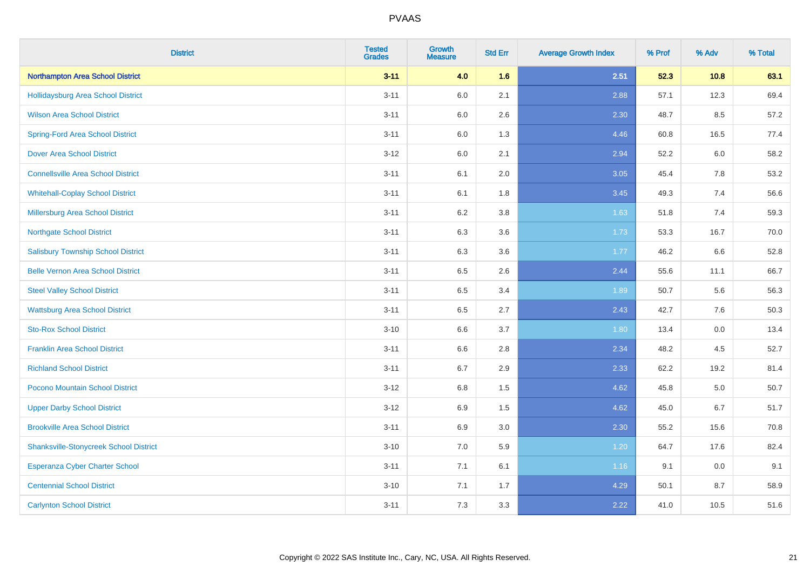| <b>District</b>                               | <b>Tested</b><br><b>Grades</b> | <b>Growth</b><br><b>Measure</b> | <b>Std Err</b> | <b>Average Growth Index</b> | % Prof | % Adv | % Total |
|-----------------------------------------------|--------------------------------|---------------------------------|----------------|-----------------------------|--------|-------|---------|
| Northampton Area School District              | $3 - 11$                       | 4.0                             | 1.6            | 2.51                        | 52.3   | 10.8  | 63.1    |
| <b>Hollidaysburg Area School District</b>     | $3 - 11$                       | 6.0                             | 2.1            | 2.88                        | 57.1   | 12.3  | 69.4    |
| <b>Wilson Area School District</b>            | $3 - 11$                       | 6.0                             | 2.6            | 2.30                        | 48.7   | 8.5   | 57.2    |
| <b>Spring-Ford Area School District</b>       | $3 - 11$                       | 6.0                             | 1.3            | 4.46                        | 60.8   | 16.5  | 77.4    |
| <b>Dover Area School District</b>             | $3 - 12$                       | 6.0                             | 2.1            | 2.94                        | 52.2   | 6.0   | 58.2    |
| <b>Connellsville Area School District</b>     | $3 - 11$                       | 6.1                             | 2.0            | 3.05                        | 45.4   | 7.8   | 53.2    |
| <b>Whitehall-Coplay School District</b>       | $3 - 11$                       | 6.1                             | 1.8            | 3.45                        | 49.3   | 7.4   | 56.6    |
| <b>Millersburg Area School District</b>       | $3 - 11$                       | 6.2                             | $3.8\,$        | 1.63                        | 51.8   | 7.4   | 59.3    |
| <b>Northgate School District</b>              | $3 - 11$                       | 6.3                             | 3.6            | 1.73                        | 53.3   | 16.7  | 70.0    |
| <b>Salisbury Township School District</b>     | $3 - 11$                       | 6.3                             | 3.6            | 1.77                        | 46.2   | 6.6   | 52.8    |
| <b>Belle Vernon Area School District</b>      | $3 - 11$                       | 6.5                             | 2.6            | 2.44                        | 55.6   | 11.1  | 66.7    |
| <b>Steel Valley School District</b>           | $3 - 11$                       | 6.5                             | 3.4            | 1.89                        | 50.7   | 5.6   | 56.3    |
| <b>Wattsburg Area School District</b>         | $3 - 11$                       | 6.5                             | 2.7            | 2.43                        | 42.7   | 7.6   | 50.3    |
| <b>Sto-Rox School District</b>                | $3 - 10$                       | 6.6                             | 3.7            | 1.80                        | 13.4   | 0.0   | 13.4    |
| <b>Franklin Area School District</b>          | $3 - 11$                       | 6.6                             | 2.8            | 2.34                        | 48.2   | 4.5   | 52.7    |
| <b>Richland School District</b>               | $3 - 11$                       | 6.7                             | 2.9            | 2.33                        | 62.2   | 19.2  | 81.4    |
| Pocono Mountain School District               | $3-12$                         | 6.8                             | 1.5            | 4.62                        | 45.8   | 5.0   | 50.7    |
| <b>Upper Darby School District</b>            | $3 - 12$                       | 6.9                             | 1.5            | 4.62                        | 45.0   | 6.7   | 51.7    |
| <b>Brookville Area School District</b>        | $3 - 11$                       | 6.9                             | 3.0            | 2.30                        | 55.2   | 15.6  | 70.8    |
| <b>Shanksville-Stonycreek School District</b> | $3 - 10$                       | 7.0                             | 5.9            | 1.20                        | 64.7   | 17.6  | 82.4    |
| <b>Esperanza Cyber Charter School</b>         | $3 - 11$                       | 7.1                             | 6.1            | 1.16                        | 9.1    | 0.0   | 9.1     |
| <b>Centennial School District</b>             | $3 - 10$                       | 7.1                             | 1.7            | 4.29                        | 50.1   | 8.7   | 58.9    |
| <b>Carlynton School District</b>              | $3 - 11$                       | 7.3                             | 3.3            | 2.22                        | 41.0   | 10.5  | 51.6    |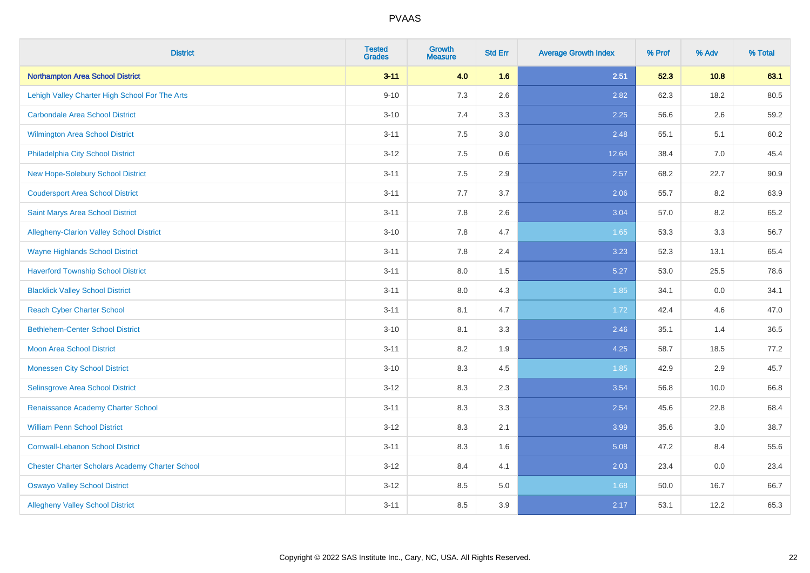| <b>District</b>                                        | <b>Tested</b><br><b>Grades</b> | <b>Growth</b><br><b>Measure</b> | <b>Std Err</b> | <b>Average Growth Index</b> | % Prof | % Adv | % Total |
|--------------------------------------------------------|--------------------------------|---------------------------------|----------------|-----------------------------|--------|-------|---------|
| Northampton Area School District                       | $3 - 11$                       | 4.0                             | 1.6            | 2.51                        | 52.3   | 10.8  | 63.1    |
| Lehigh Valley Charter High School For The Arts         | $9 - 10$                       | 7.3                             | 2.6            | 2.82                        | 62.3   | 18.2  | 80.5    |
| <b>Carbondale Area School District</b>                 | $3 - 10$                       | 7.4                             | 3.3            | 2.25                        | 56.6   | 2.6   | 59.2    |
| <b>Wilmington Area School District</b>                 | $3 - 11$                       | 7.5                             | 3.0            | 2.48                        | 55.1   | 5.1   | 60.2    |
| Philadelphia City School District                      | $3-12$                         | 7.5                             | 0.6            | 12.64                       | 38.4   | 7.0   | 45.4    |
| New Hope-Solebury School District                      | $3 - 11$                       | 7.5                             | 2.9            | 2.57                        | 68.2   | 22.7  | 90.9    |
| <b>Coudersport Area School District</b>                | $3 - 11$                       | 7.7                             | 3.7            | 2.06                        | 55.7   | 8.2   | 63.9    |
| Saint Marys Area School District                       | $3 - 11$                       | 7.8                             | 2.6            | 3.04                        | 57.0   | 8.2   | 65.2    |
| Allegheny-Clarion Valley School District               | $3 - 10$                       | 7.8                             | 4.7            | 1.65                        | 53.3   | 3.3   | 56.7    |
| <b>Wayne Highlands School District</b>                 | $3 - 11$                       | 7.8                             | 2.4            | 3.23                        | 52.3   | 13.1  | 65.4    |
| <b>Haverford Township School District</b>              | $3 - 11$                       | 8.0                             | 1.5            | 5.27                        | 53.0   | 25.5  | 78.6    |
| <b>Blacklick Valley School District</b>                | $3 - 11$                       | 8.0                             | 4.3            | 1.85                        | 34.1   | 0.0   | 34.1    |
| <b>Reach Cyber Charter School</b>                      | $3 - 11$                       | 8.1                             | 4.7            | 1.72                        | 42.4   | 4.6   | 47.0    |
| <b>Bethlehem-Center School District</b>                | $3 - 10$                       | 8.1                             | 3.3            | 2.46                        | 35.1   | 1.4   | 36.5    |
| Moon Area School District                              | $3 - 11$                       | 8.2                             | 1.9            | 4.25                        | 58.7   | 18.5  | 77.2    |
| <b>Monessen City School District</b>                   | $3 - 10$                       | 8.3                             | 4.5            | 1.85                        | 42.9   | 2.9   | 45.7    |
| Selinsgrove Area School District                       | $3-12$                         | 8.3                             | 2.3            | 3.54                        | 56.8   | 10.0  | 66.8    |
| Renaissance Academy Charter School                     | $3 - 11$                       | 8.3                             | 3.3            | 2.54                        | 45.6   | 22.8  | 68.4    |
| <b>William Penn School District</b>                    | $3 - 12$                       | 8.3                             | 2.1            | 3.99                        | 35.6   | 3.0   | 38.7    |
| <b>Cornwall-Lebanon School District</b>                | $3 - 11$                       | 8.3                             | 1.6            | 5.08                        | 47.2   | 8.4   | 55.6    |
| <b>Chester Charter Scholars Academy Charter School</b> | $3 - 12$                       | 8.4                             | 4.1            | 2.03                        | 23.4   | 0.0   | 23.4    |
| <b>Oswayo Valley School District</b>                   | $3-12$                         | 8.5                             | 5.0            | 1.68                        | 50.0   | 16.7  | 66.7    |
| <b>Allegheny Valley School District</b>                | $3 - 11$                       | 8.5                             | 3.9            | 2.17                        | 53.1   | 12.2  | 65.3    |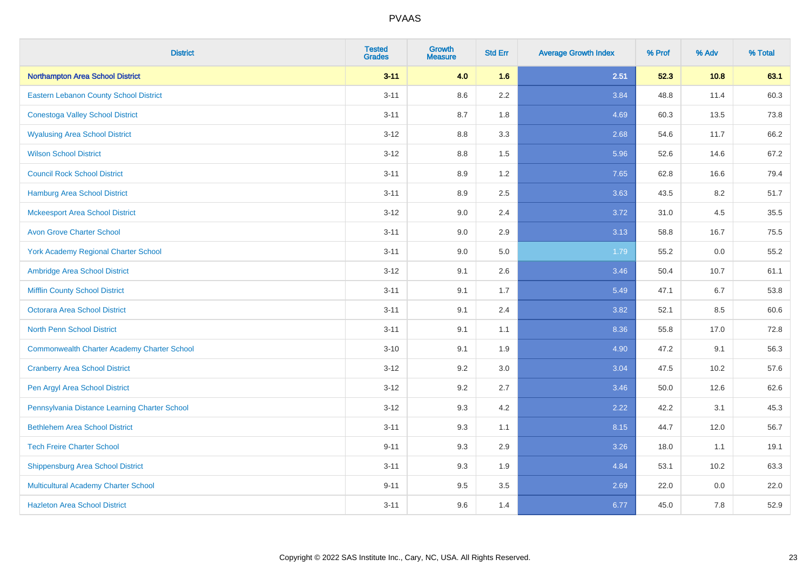| <b>District</b>                                    | <b>Tested</b><br><b>Grades</b> | <b>Growth</b><br><b>Measure</b> | <b>Std Err</b> | <b>Average Growth Index</b> | % Prof | % Adv | % Total |
|----------------------------------------------------|--------------------------------|---------------------------------|----------------|-----------------------------|--------|-------|---------|
| Northampton Area School District                   | $3 - 11$                       | 4.0                             | 1.6            | 2.51                        | 52.3   | 10.8  | 63.1    |
| <b>Eastern Lebanon County School District</b>      | $3 - 11$                       | 8.6                             | 2.2            | 3.84                        | 48.8   | 11.4  | 60.3    |
| <b>Conestoga Valley School District</b>            | $3 - 11$                       | 8.7                             | 1.8            | 4.69                        | 60.3   | 13.5  | 73.8    |
| <b>Wyalusing Area School District</b>              | $3-12$                         | 8.8                             | 3.3            | 2.68                        | 54.6   | 11.7  | 66.2    |
| <b>Wilson School District</b>                      | $3 - 12$                       | 8.8                             | 1.5            | 5.96                        | 52.6   | 14.6  | 67.2    |
| <b>Council Rock School District</b>                | $3 - 11$                       | 8.9                             | 1.2            | 7.65                        | 62.8   | 16.6  | 79.4    |
| <b>Hamburg Area School District</b>                | $3 - 11$                       | 8.9                             | 2.5            | 3.63                        | 43.5   | 8.2   | 51.7    |
| <b>Mckeesport Area School District</b>             | $3 - 12$                       | 9.0                             | 2.4            | 3.72                        | 31.0   | 4.5   | 35.5    |
| <b>Avon Grove Charter School</b>                   | $3 - 11$                       | 9.0                             | 2.9            | 3.13                        | 58.8   | 16.7  | 75.5    |
| <b>York Academy Regional Charter School</b>        | $3 - 11$                       | 9.0                             | 5.0            | 1.79                        | 55.2   | 0.0   | 55.2    |
| Ambridge Area School District                      | $3 - 12$                       | 9.1                             | 2.6            | 3.46                        | 50.4   | 10.7  | 61.1    |
| <b>Mifflin County School District</b>              | $3 - 11$                       | 9.1                             | 1.7            | 5.49                        | 47.1   | 6.7   | 53.8    |
| <b>Octorara Area School District</b>               | $3 - 11$                       | 9.1                             | 2.4            | 3.82                        | 52.1   | 8.5   | 60.6    |
| <b>North Penn School District</b>                  | $3 - 11$                       | 9.1                             | 1.1            | 8.36                        | 55.8   | 17.0  | 72.8    |
| <b>Commonwealth Charter Academy Charter School</b> | $3 - 10$                       | 9.1                             | 1.9            | 4.90                        | 47.2   | 9.1   | 56.3    |
| <b>Cranberry Area School District</b>              | $3-12$                         | 9.2                             | 3.0            | 3.04                        | 47.5   | 10.2  | 57.6    |
| Pen Argyl Area School District                     | $3-12$                         | 9.2                             | 2.7            | 3.46                        | 50.0   | 12.6  | 62.6    |
| Pennsylvania Distance Learning Charter School      | $3 - 12$                       | 9.3                             | 4.2            | 2.22                        | 42.2   | 3.1   | 45.3    |
| <b>Bethlehem Area School District</b>              | $3 - 11$                       | 9.3                             | 1.1            | 8.15                        | 44.7   | 12.0  | 56.7    |
| <b>Tech Freire Charter School</b>                  | $9 - 11$                       | 9.3                             | 2.9            | 3.26                        | 18.0   | 1.1   | 19.1    |
| <b>Shippensburg Area School District</b>           | $3 - 11$                       | 9.3                             | 1.9            | 4.84                        | 53.1   | 10.2  | 63.3    |
| Multicultural Academy Charter School               | $9 - 11$                       | 9.5                             | 3.5            | 2.69                        | 22.0   | 0.0   | 22.0    |
| <b>Hazleton Area School District</b>               | $3 - 11$                       | 9.6                             | 1.4            | 6.77                        | 45.0   | 7.8   | 52.9    |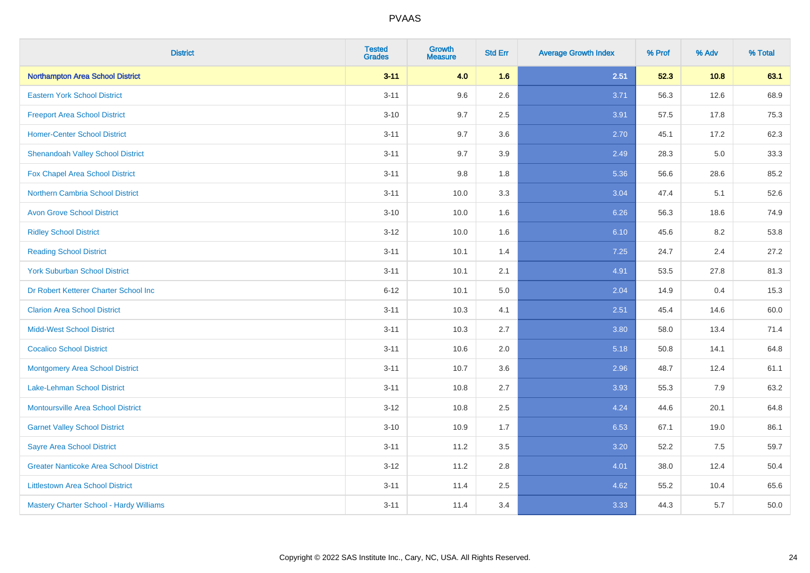| <b>District</b>                               | <b>Tested</b><br><b>Grades</b> | <b>Growth</b><br><b>Measure</b> | <b>Std Err</b> | <b>Average Growth Index</b> | % Prof | % Adv | % Total |
|-----------------------------------------------|--------------------------------|---------------------------------|----------------|-----------------------------|--------|-------|---------|
| <b>Northampton Area School District</b>       | $3 - 11$                       | 4.0                             | 1.6            | 2.51                        | 52.3   | 10.8  | 63.1    |
| <b>Eastern York School District</b>           | $3 - 11$                       | 9.6                             | 2.6            | 3.71                        | 56.3   | 12.6  | 68.9    |
| <b>Freeport Area School District</b>          | $3 - 10$                       | 9.7                             | 2.5            | 3.91                        | 57.5   | 17.8  | 75.3    |
| <b>Homer-Center School District</b>           | $3 - 11$                       | 9.7                             | 3.6            | 2.70                        | 45.1   | 17.2  | 62.3    |
| <b>Shenandoah Valley School District</b>      | $3 - 11$                       | 9.7                             | 3.9            | 2.49                        | 28.3   | 5.0   | 33.3    |
| Fox Chapel Area School District               | $3 - 11$                       | 9.8                             | 1.8            | 5.36                        | 56.6   | 28.6  | 85.2    |
| <b>Northern Cambria School District</b>       | $3 - 11$                       | 10.0                            | 3.3            | 3.04                        | 47.4   | 5.1   | 52.6    |
| <b>Avon Grove School District</b>             | $3 - 10$                       | 10.0                            | 1.6            | 6.26                        | 56.3   | 18.6  | 74.9    |
| <b>Ridley School District</b>                 | $3 - 12$                       | 10.0                            | 1.6            | 6.10                        | 45.6   | 8.2   | 53.8    |
| <b>Reading School District</b>                | $3 - 11$                       | 10.1                            | 1.4            | 7.25                        | 24.7   | 2.4   | 27.2    |
| <b>York Suburban School District</b>          | $3 - 11$                       | 10.1                            | 2.1            | 4.91                        | 53.5   | 27.8  | 81.3    |
| Dr Robert Ketterer Charter School Inc         | $6 - 12$                       | 10.1                            | 5.0            | 2.04                        | 14.9   | 0.4   | 15.3    |
| <b>Clarion Area School District</b>           | $3 - 11$                       | 10.3                            | 4.1            | 2.51                        | 45.4   | 14.6  | 60.0    |
| <b>Midd-West School District</b>              | $3 - 11$                       | 10.3                            | 2.7            | 3.80                        | 58.0   | 13.4  | 71.4    |
| <b>Cocalico School District</b>               | $3 - 11$                       | 10.6                            | 2.0            | 5.18                        | 50.8   | 14.1  | 64.8    |
| <b>Montgomery Area School District</b>        | $3 - 11$                       | 10.7                            | 3.6            | 2.96                        | 48.7   | 12.4  | 61.1    |
| Lake-Lehman School District                   | $3 - 11$                       | 10.8                            | 2.7            | 3.93                        | 55.3   | 7.9   | 63.2    |
| Montoursville Area School District            | $3 - 12$                       | 10.8                            | 2.5            | 4.24                        | 44.6   | 20.1  | 64.8    |
| <b>Garnet Valley School District</b>          | $3 - 10$                       | 10.9                            | 1.7            | 6.53                        | 67.1   | 19.0  | 86.1    |
| <b>Sayre Area School District</b>             | $3 - 11$                       | 11.2                            | 3.5            | 3.20                        | 52.2   | 7.5   | 59.7    |
| <b>Greater Nanticoke Area School District</b> | $3 - 12$                       | 11.2                            | 2.8            | 4.01                        | 38.0   | 12.4  | 50.4    |
| <b>Littlestown Area School District</b>       | $3 - 11$                       | 11.4                            | 2.5            | 4.62                        | 55.2   | 10.4  | 65.6    |
| Mastery Charter School - Hardy Williams       | $3 - 11$                       | 11.4                            | 3.4            | 3.33                        | 44.3   | 5.7   | 50.0    |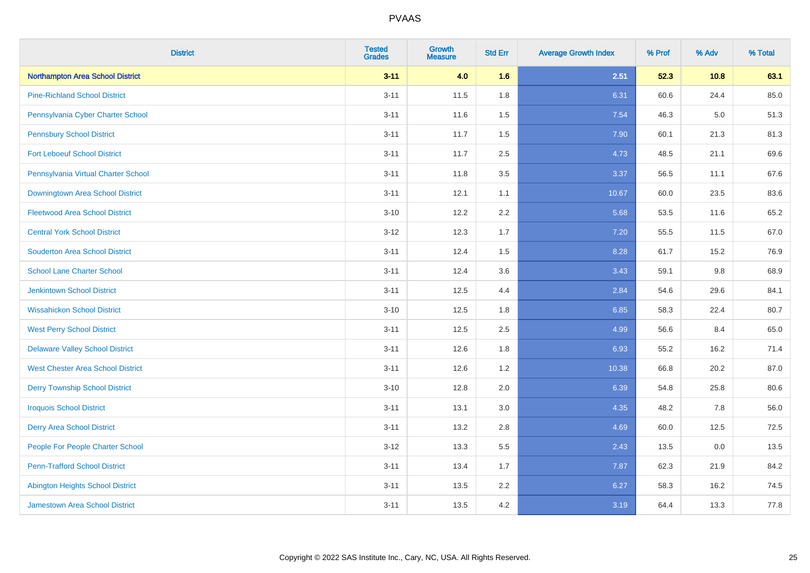| <b>District</b>                          | <b>Tested</b><br><b>Grades</b> | <b>Growth</b><br><b>Measure</b> | <b>Std Err</b> | <b>Average Growth Index</b> | % Prof | % Adv   | % Total |
|------------------------------------------|--------------------------------|---------------------------------|----------------|-----------------------------|--------|---------|---------|
| Northampton Area School District         | $3 - 11$                       | 4.0                             | 1.6            | 2.51                        | 52.3   | 10.8    | 63.1    |
| <b>Pine-Richland School District</b>     | $3 - 11$                       | 11.5                            | 1.8            | 6.31                        | 60.6   | 24.4    | 85.0    |
| Pennsylvania Cyber Charter School        | $3 - 11$                       | 11.6                            | 1.5            | 7.54                        | 46.3   | $5.0\,$ | 51.3    |
| <b>Pennsbury School District</b>         | $3 - 11$                       | 11.7                            | 1.5            | 7.90                        | 60.1   | 21.3    | 81.3    |
| <b>Fort Leboeuf School District</b>      | $3 - 11$                       | 11.7                            | 2.5            | 4.73                        | 48.5   | 21.1    | 69.6    |
| Pennsylvania Virtual Charter School      | $3 - 11$                       | 11.8                            | 3.5            | 3.37                        | 56.5   | 11.1    | 67.6    |
| Downingtown Area School District         | $3 - 11$                       | 12.1                            | 1.1            | 10.67                       | 60.0   | 23.5    | 83.6    |
| <b>Fleetwood Area School District</b>    | $3 - 10$                       | 12.2                            | 2.2            | 5.68                        | 53.5   | 11.6    | 65.2    |
| <b>Central York School District</b>      | $3 - 12$                       | 12.3                            | 1.7            | 7.20                        | 55.5   | 11.5    | 67.0    |
| <b>Souderton Area School District</b>    | $3 - 11$                       | 12.4                            | 1.5            | 8.28                        | 61.7   | 15.2    | 76.9    |
| <b>School Lane Charter School</b>        | $3 - 11$                       | 12.4                            | 3.6            | 3.43                        | 59.1   | 9.8     | 68.9    |
| <b>Jenkintown School District</b>        | $3 - 11$                       | 12.5                            | 4.4            | 2.84                        | 54.6   | 29.6    | 84.1    |
| <b>Wissahickon School District</b>       | $3 - 10$                       | 12.5                            | 1.8            | 6.85                        | 58.3   | 22.4    | 80.7    |
| <b>West Perry School District</b>        | $3 - 11$                       | 12.5                            | 2.5            | 4.99                        | 56.6   | 8.4     | 65.0    |
| <b>Delaware Valley School District</b>   | $3 - 11$                       | 12.6                            | 1.8            | 6.93                        | 55.2   | 16.2    | 71.4    |
| <b>West Chester Area School District</b> | $3 - 11$                       | 12.6                            | 1.2            | 10.38                       | 66.8   | 20.2    | 87.0    |
| <b>Derry Township School District</b>    | $3 - 10$                       | 12.8                            | 2.0            | 6.39                        | 54.8   | 25.8    | 80.6    |
| <b>Iroquois School District</b>          | $3 - 11$                       | 13.1                            | 3.0            | 4.35                        | 48.2   | 7.8     | 56.0    |
| <b>Derry Area School District</b>        | $3 - 11$                       | 13.2                            | 2.8            | 4.69                        | 60.0   | 12.5    | 72.5    |
| People For People Charter School         | $3-12$                         | 13.3                            | 5.5            | 2.43                        | 13.5   | 0.0     | 13.5    |
| <b>Penn-Trafford School District</b>     | $3 - 11$                       | 13.4                            | 1.7            | 7.87                        | 62.3   | 21.9    | 84.2    |
| <b>Abington Heights School District</b>  | $3 - 11$                       | 13.5                            | 2.2            | 6.27                        | 58.3   | 16.2    | 74.5    |
| <b>Jamestown Area School District</b>    | $3 - 11$                       | 13.5                            | 4.2            | 3.19                        | 64.4   | 13.3    | 77.8    |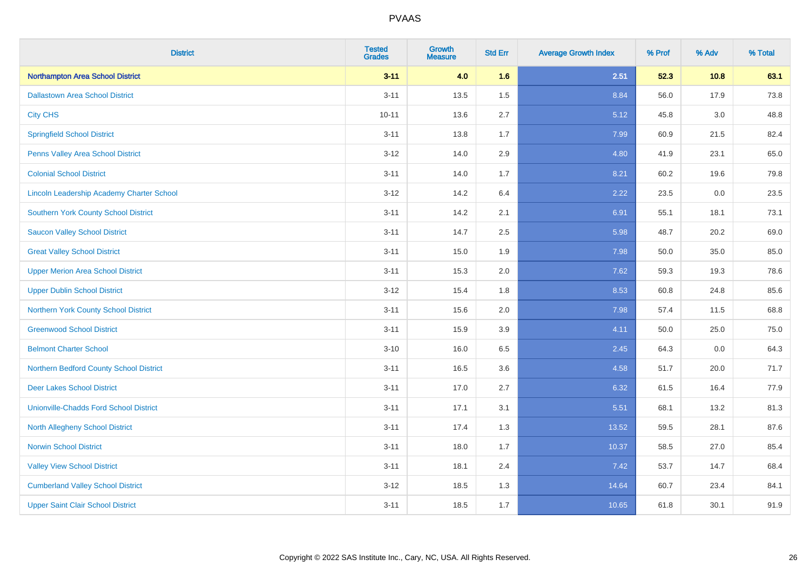| <b>District</b>                                  | <b>Tested</b><br><b>Grades</b> | <b>Growth</b><br><b>Measure</b> | <b>Std Err</b> | <b>Average Growth Index</b> | % Prof | % Adv   | % Total |
|--------------------------------------------------|--------------------------------|---------------------------------|----------------|-----------------------------|--------|---------|---------|
| <b>Northampton Area School District</b>          | $3 - 11$                       | 4.0                             | 1.6            | 2.51                        | 52.3   | 10.8    | 63.1    |
| <b>Dallastown Area School District</b>           | $3 - 11$                       | 13.5                            | 1.5            | 8.84                        | 56.0   | 17.9    | 73.8    |
| <b>City CHS</b>                                  | $10 - 11$                      | 13.6                            | 2.7            | 5.12                        | 45.8   | 3.0     | 48.8    |
| <b>Springfield School District</b>               | $3 - 11$                       | 13.8                            | 1.7            | 7.99                        | 60.9   | 21.5    | 82.4    |
| Penns Valley Area School District                | $3 - 12$                       | 14.0                            | 2.9            | 4.80                        | 41.9   | 23.1    | 65.0    |
| <b>Colonial School District</b>                  | $3 - 11$                       | 14.0                            | 1.7            | 8.21                        | 60.2   | 19.6    | 79.8    |
| <b>Lincoln Leadership Academy Charter School</b> | $3 - 12$                       | 14.2                            | 6.4            | 2.22                        | 23.5   | $0.0\,$ | 23.5    |
| <b>Southern York County School District</b>      | $3 - 11$                       | 14.2                            | 2.1            | 6.91                        | 55.1   | 18.1    | 73.1    |
| <b>Saucon Valley School District</b>             | $3 - 11$                       | 14.7                            | 2.5            | 5.98                        | 48.7   | 20.2    | 69.0    |
| <b>Great Valley School District</b>              | $3 - 11$                       | 15.0                            | 1.9            | 7.98                        | 50.0   | 35.0    | 85.0    |
| <b>Upper Merion Area School District</b>         | $3 - 11$                       | 15.3                            | 2.0            | 7.62                        | 59.3   | 19.3    | 78.6    |
| <b>Upper Dublin School District</b>              | $3 - 12$                       | 15.4                            | 1.8            | 8.53                        | 60.8   | 24.8    | 85.6    |
| Northern York County School District             | $3 - 11$                       | 15.6                            | 2.0            | 7.98                        | 57.4   | 11.5    | 68.8    |
| <b>Greenwood School District</b>                 | $3 - 11$                       | 15.9                            | 3.9            | 4.11                        | 50.0   | 25.0    | 75.0    |
| <b>Belmont Charter School</b>                    | $3 - 10$                       | 16.0                            | 6.5            | 2.45                        | 64.3   | 0.0     | 64.3    |
| Northern Bedford County School District          | $3 - 11$                       | 16.5                            | 3.6            | 4.58                        | 51.7   | 20.0    | 71.7    |
| <b>Deer Lakes School District</b>                | $3 - 11$                       | 17.0                            | 2.7            | 6.32                        | 61.5   | 16.4    | 77.9    |
| <b>Unionville-Chadds Ford School District</b>    | $3 - 11$                       | 17.1                            | 3.1            | 5.51                        | 68.1   | 13.2    | 81.3    |
| <b>North Allegheny School District</b>           | $3 - 11$                       | 17.4                            | 1.3            | 13.52                       | 59.5   | 28.1    | 87.6    |
| <b>Norwin School District</b>                    | $3 - 11$                       | 18.0                            | 1.7            | 10.37                       | 58.5   | 27.0    | 85.4    |
| <b>Valley View School District</b>               | $3 - 11$                       | 18.1                            | 2.4            | 7.42                        | 53.7   | 14.7    | 68.4    |
| <b>Cumberland Valley School District</b>         | $3 - 12$                       | 18.5                            | 1.3            | 14.64                       | 60.7   | 23.4    | 84.1    |
| <b>Upper Saint Clair School District</b>         | $3 - 11$                       | 18.5                            | 1.7            | 10.65                       | 61.8   | 30.1    | 91.9    |